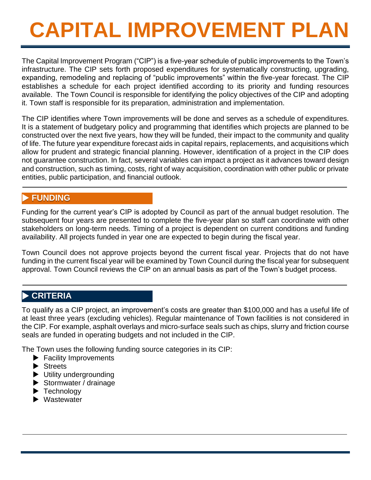The Capital Improvement Program ("CIP") is a five-year schedule of public improvements to the Town's infrastructure. The CIP sets forth proposed expenditures for systematically constructing, upgrading, expanding, remodeling and replacing of "public improvements" within the five-year forecast. The CIP establishes a schedule for each project identified according to its priority and funding resources available. The Town Council is responsible for identifying the policy objectives of the CIP and adopting it. Town staff is responsible for its preparation, administration and implementation.

The CIP identifies where Town improvements will be done and serves as a schedule of expenditures. It is a statement of budgetary policy and programming that identifies which projects are planned to be constructed over the next five years, how they will be funded, their impact to the community and quality of life. The future year expenditure forecast aids in capital repairs, replacements, and acquisitions which allow for prudent and strategic financial planning. However, identification of a project in the CIP does not guarantee construction. In fact, several variables can impact a project as it advances toward design and construction, such as timing, costs, right of way acquisition, coordination with other public or private entities, public participation, and financial outlook.

### **FUNDING**

Funding for the current year's CIP is adopted by Council as part of the annual budget resolution. The subsequent four years are presented to complete the five-year plan so staff can coordinate with other stakeholders on long-term needs. Timing of a project is dependent on current conditions and funding availability. All projects funded in year one are expected to begin during the fiscal year.

Town Council does not approve projects beyond the current fiscal year. Projects that do not have funding in the current fiscal year will be examined by Town Council during the fiscal year for subsequent approval. Town Council reviews the CIP on an annual basis as part of the Town's budget process.

### **CRITERIA**

To qualify as a CIP project, an improvement's costs are greater than \$100,000 and has a useful life of at least three years (excluding vehicles). Regular maintenance of Town facilities is not considered in the CIP. For example, asphalt overlays and micro-surface seals such as chips, slurry and friction course seals are funded in operating budgets and not included in the CIP.

The Town uses the following funding source categories in its CIP:

- **Facility Improvements**
- Streets
- $\blacktriangleright$  Utility undergrounding
- Stormwater / drainage
- Technology
- ▶ Wastewater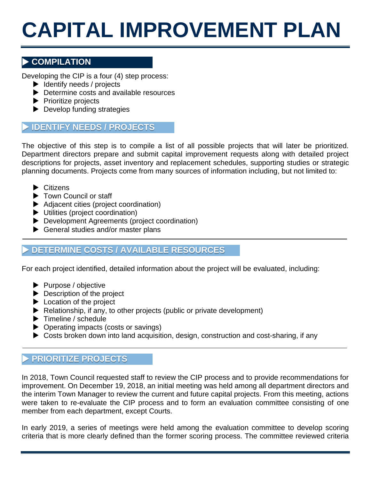### **COMPILATION**

Developing the CIP is a four (4) step process:

- $\blacktriangleright$  Identify needs / projects
- ▶ Determine costs and available resources
- $\blacktriangleright$  Prioritize projects
- Develop funding strategies

### **IDENTIFY NEEDS / PROJECTS**

The objective of this step is to compile a list of all possible projects that will later be prioritized. Department directors prepare and submit capital improvement requests along with detailed project descriptions for projects, asset inventory and replacement schedules, supporting studies or strategic planning documents. Projects come from many sources of information including, but not limited to:

- $\blacktriangleright$  Citizens
- ▶ Town Council or staff
- Adjacent cities (project coordination)
- Utilities (project coordination)
- Development Agreements (project coordination)
- General studies and/or master plans

### **DETERMINE COSTS / AVAILABLE RESOURCES**

For each project identified, detailed information about the project will be evaluated, including:

- Purpose / objective
- **Description of the project**
- ▶ Location of the project
- Relationship, if any, to other projects (public or private development)
- $\blacktriangleright$  Timeline / schedule
- ▶ Operating impacts (costs or savings)
- Costs broken down into land acquisition, design, construction and cost-sharing, if any

### **PRIORITIZE PROJECTS**

In 2018, Town Council requested staff to review the CIP process and to provide recommendations for improvement. On December 19, 2018, an initial meeting was held among all department directors and the interim Town Manager to review the current and future capital projects. From this meeting, actions were taken to re-evaluate the CIP process and to form an evaluation committee consisting of one member from each department, except Courts.

In early 2019, a series of meetings were held among the evaluation committee to develop scoring criteria that is more clearly defined than the former scoring process. The committee reviewed criteria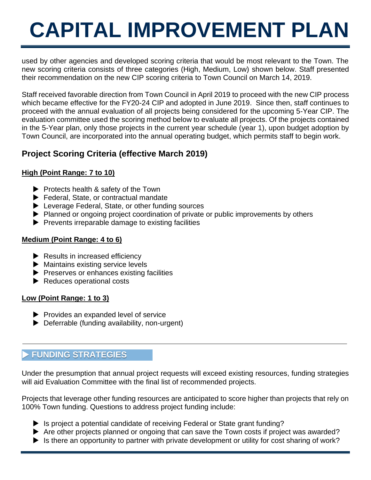used by other agencies and developed scoring criteria that would be most relevant to the Town. The new scoring criteria consists of three categories (High, Medium, Low) shown below. Staff presented their recommendation on the new CIP scoring criteria to Town Council on March 14, 2019.

Staff received favorable direction from Town Council in April 2019 to proceed with the new CIP process which became effective for the FY20-24 CIP and adopted in June 2019. Since then, staff continues to proceed with the annual evaluation of all projects being considered for the upcoming 5-Year CIP. The evaluation committee used the scoring method below to evaluate all projects. Of the projects contained in the 5-Year plan, only those projects in the current year schedule (year 1), upon budget adoption by Town Council, are incorporated into the annual operating budget, which permits staff to begin work.

### **Project Scoring Criteria (effective March 2019)**

### **High (Point Range: 7 to 10)**

- $\blacktriangleright$  Protects health & safety of the Town
- Federal, State, or contractual mandate
- ▶ Leverage Federal, State, or other funding sources
- Planned or ongoing project coordination of private or public improvements by others
- $\blacktriangleright$  Prevents irreparable damage to existing facilities

### **Medium (Point Range: 4 to 6)**

- $\blacktriangleright$  Results in increased efficiency
- **Maintains existing service levels**
- $\blacktriangleright$  Preserves or enhances existing facilities
- Reduces operational costs

### **Low (Point Range: 1 to 3)**

- $\blacktriangleright$  Provides an expanded level of service
- ▶ Deferrable (funding availability, non-urgent)

### **FUNDING STRATEGIES**

Under the presumption that annual project requests will exceed existing resources, funding strategies will aid Evaluation Committee with the final list of recommended projects.

Projects that leverage other funding resources are anticipated to score higher than projects that rely on 100% Town funding. Questions to address project funding include:

- Is project a potential candidate of receiving Federal or State grant funding?
- Are other projects planned or ongoing that can save the Town costs if project was awarded?
- $\blacktriangleright$  Is there an opportunity to partner with private development or utility for cost sharing of work?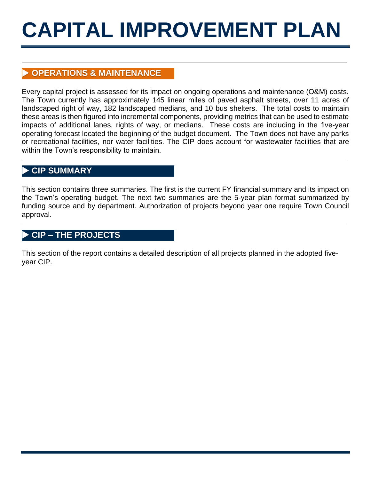### **OPERATIONS & MAINTENANCE**

Every capital project is assessed for its impact on ongoing operations and maintenance (O&M) costs. The Town currently has approximately 145 linear miles of paved asphalt streets, over 11 acres of landscaped right of way, 182 landscaped medians, and 10 bus shelters. The total costs to maintain these areas is then figured into incremental components, providing metrics that can be used to estimate impacts of additional lanes, rights of way, or medians. These costs are including in the five-year operating forecast located the beginning of the budget document. The Town does not have any parks or recreational facilities, nor water facilities. The CIP does account for wastewater facilities that are within the Town's responsibility to maintain.

### **CIP SUMMARY**

This section contains three summaries. The first is the current FY financial summary and its impact on the Town's operating budget. The next two summaries are the 5-year plan format summarized by funding source and by department. Authorization of projects beyond year one require Town Council approval.

### **CIP – THE PROJECTS**

This section of the report contains a detailed description of all projects planned in the adopted fiveyear CIP.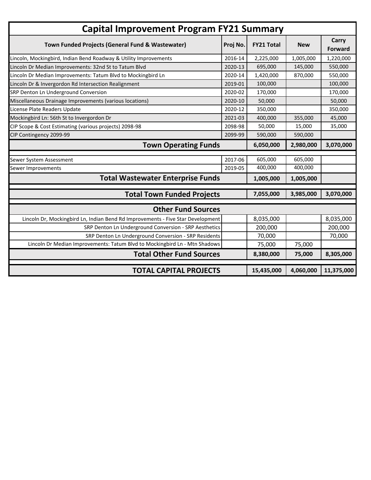| <b>Capital Improvement Program FY21 Summary</b>                                 |          |                   |            |                         |
|---------------------------------------------------------------------------------|----------|-------------------|------------|-------------------------|
| Town Funded Projects (General Fund & Wastewater)                                | Proj No. | <b>FY21 Total</b> | <b>New</b> | Carry<br><b>Forward</b> |
| Lincoln, Mockingbird, Indian Bend Roadway & Utility Improvements                | 2016-14  | 2,225,000         | 1,005,000  | 1,220,000               |
| Lincoln Dr Median Improvements: 32nd St to Tatum Blvd                           | 2020-13  | 695,000           | 145,000    | 550,000                 |
| Lincoln Dr Median Improvements: Tatum Blvd to Mockingbird Ln                    | 2020-14  | 1,420,000         | 870,000    | 550,000                 |
| Lincoln Dr & Invergordon Rd Intersection Realignment                            | 2019-01  | 100,000           |            | 100,000                 |
| SRP Denton Ln Underground Conversion                                            | 2020-02  | 170,000           |            | 170,000                 |
| Miscellaneous Drainage Improvements (various locations)                         | 2020-10  | 50,000            |            | 50,000                  |
| License Plate Readers Update                                                    | 2020-12  | 350,000           |            | 350,000                 |
| Mockingbird Ln: 56th St to Invergordon Dr                                       | 2021-03  | 400,000           | 355,000    | 45,000                  |
| CIP Scope & Cost Estimating (various projects) 2098-98                          | 2098-98  | 50,000            | 15,000     | 35,000                  |
| CIP Contingency 2099-99                                                         | 2099-99  | 590,000           | 590,000    |                         |
| <b>Town Operating Funds</b>                                                     |          | 6,050,000         | 2,980,000  | 3,070,000               |
| Sewer System Assessment                                                         | 2017-06  | 605,000           | 605,000    |                         |
| Sewer Improvements                                                              | 2019-05  | 400,000           | 400,000    |                         |
| <b>Total Wastewater Enterprise Funds</b>                                        |          | 1,005,000         | 1,005,000  |                         |
| <b>Total Town Funded Projects</b>                                               |          | 7,055,000         | 3,985,000  | 3,070,000               |
| <b>Other Fund Sources</b>                                                       |          |                   |            |                         |
| Lincoln Dr, Mockingbird Ln, Indian Bend Rd Improvements - Five Star Development |          | 8,035,000         |            | 8,035,000               |
| SRP Denton Ln Underground Conversion - SRP Aesthetics                           |          | 200,000           |            | 200,000                 |
| SRP Denton Ln Underground Conversion - SRP Residents                            |          | 70,000            |            | 70,000                  |
| Lincoln Dr Median Improvements: Tatum Blvd to Mockingbird Ln - Mtn Shadows      |          | 75,000            | 75,000     |                         |
|                                                                                 |          |                   |            |                         |
| <b>Total Other Fund Sources</b>                                                 |          | 8,380,000         | 75,000     | 8,305,000               |
| <b>TOTAL CAPITAL PROJECTS</b>                                                   |          | 15,435,000        | 4,060,000  | 11,375,000              |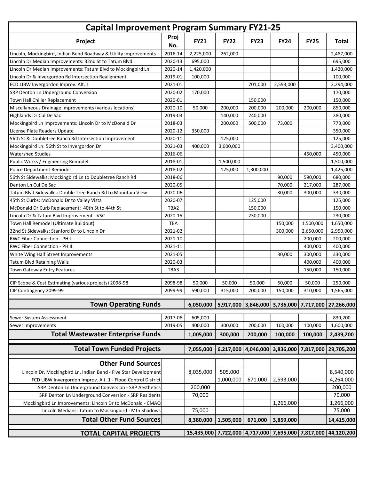| <b>Capital Improvement Program Summary FY21-25</b>               |             |                                                    |             |             |             |                     |                                                    |
|------------------------------------------------------------------|-------------|----------------------------------------------------|-------------|-------------|-------------|---------------------|----------------------------------------------------|
| Project                                                          | Proj<br>No. | <b>FY21</b>                                        | <b>FY22</b> | <b>FY23</b> | <b>FY24</b> | <b>FY25</b>         | <b>Total</b>                                       |
| Lincoln, Mockingbird, Indian Bend Roadway & Utility Improvements | 2016-14     | 2,225,000                                          | 262,000     |             |             |                     | 2,487,000                                          |
| Lincoln Dr Median Improvements: 32nd St to Tatum Blvd            | 2020-13     | 695,000                                            |             |             |             |                     | 695,000                                            |
| Lincoln Dr Median Improvements: Tatum Blvd to Mockingbird Ln     | 2020-14     | 1,420,000                                          |             |             |             |                     | 1,420,000                                          |
| Lincoln Dr & Invergordon Rd Intersection Realignment             | 2019-01     | 100,000                                            |             |             |             |                     | 100,000                                            |
| FCD LIBW Invergordon Improv. Alt. 1                              | 2021-01     |                                                    |             | 701,000     | 2,593,000   |                     | 3,294,000                                          |
| SRP Denton Ln Underground Conversion                             | 2020-02     | 170,000                                            |             |             |             |                     | 170,000                                            |
| Town Hall Chiller Replacement                                    | 2020-01     |                                                    |             | 150,000     |             |                     | 150,000                                            |
| Miscellaneous Drainage Improvements (various locations)          | 2020-10     | 50,000                                             | 200,000     | 200,000     | 200,000     | 200,000             | 850,000                                            |
| Highlands Dr Cul De Sac                                          | 2019-03     |                                                    | 140,000     | 240,000     |             |                     | 380,000                                            |
| Mockingbird Ln Improvements: Lincoln Dr to McDonald Dr           | 2018-03     |                                                    | 200,000     | 500,000     | 73,000      |                     | 773,000                                            |
| License Plate Readers Update                                     | 2020-12     | 350,000                                            |             |             |             |                     | 350,000                                            |
| 56th St & Doubletree Ranch Rd Intersection Improvement           | 2020-11     |                                                    | 125,000     |             |             |                     | 125,000                                            |
| Mockingbird Ln: 56th St to Invergordon Dr                        | 2021-03     | 400,000                                            | 3,000,000   |             |             |                     | 3,400,000                                          |
| <b>Watershed Studies</b>                                         | 2016-06     |                                                    |             |             |             | 450,000             | 450,000                                            |
| Public Works / Engineering Remodel                               | 2018-01     |                                                    | 1,500,000   |             |             |                     | 1,500,000                                          |
| <b>Police Department Remodel</b>                                 | 2018-02     |                                                    | 125,000     | 1,300,000   |             |                     | 1,425,000                                          |
| 56th St Sidewalks: Mockingbird Ln to Doubletree Ranch Rd         | 2018-06     |                                                    |             |             | 90,000      | 590,000             | 680,000                                            |
| Denton Ln Cul De Sac                                             | 2020-05     |                                                    |             |             | 70,000      | 217,000             | 287,000                                            |
| Tatum Blvd Sidewalks: Double Tree Ranch Rd to Mountain View      | 2020-06     |                                                    |             |             | 30,000      | 300,000             | 330,000                                            |
| 45th St Curbs: McDonald Dr to Valley Vista                       | 2020-07     |                                                    |             | 125,000     |             |                     | 125,000                                            |
| McDonald Dr Curb Replacement: 40th St to 44th St                 | TBA2        |                                                    |             | 150,000     |             |                     | 150,000                                            |
| Lincoln Dr & Tatum Blvd Improvement - VSC                        | 2020-15     |                                                    |             | 230,000     |             |                     | 230,000                                            |
| Town Hall Remodel (Ultimate Buildout)                            | TBA         |                                                    |             |             | 150,000     | 1,500,000           | 1,650,000                                          |
| 32nd St Sidewalks: Stanford Dr to Lincoln Dr                     | 2021-02     |                                                    |             |             | 300,000     | 2,650,000           | 2,950,000                                          |
| RWC Fiber Connection - PH I                                      | 2021-10     |                                                    |             |             |             | 200,000             | 200,000                                            |
| <b>RWC Fiber Connection - PH II</b>                              | 2021-11     |                                                    |             |             |             | 400,000             | 400,000                                            |
| White Wing Half Street Improvements                              | 2021-05     |                                                    |             |             | 30,000      | 300,000             | 330,000                                            |
| <b>Tatum Blvd Retaining Walls</b>                                | 2020-03     |                                                    |             |             |             | 400,000             | 400,000                                            |
| Town Gateway Entry Features                                      | TBA3        |                                                    |             |             |             | 150,000             | 150,000                                            |
|                                                                  |             |                                                    |             |             |             |                     |                                                    |
| CIP Scope & Cost Estimating (various projects) 2098-98           | 2098-98     | 50,000                                             | 50,000      | 50,000      | 50,000      | 50,000              | 250,000                                            |
| CIP Contingency 2099-99                                          | 2099-99     | 590,000                                            | 315,000     | 200,000     | 150,000     | 310,000             | 1,565,000                                          |
| <b>Town Operating Funds</b>                                      |             | 6,050,000                                          |             |             |             |                     | 5,917,000 3,846,000 3,736,000 7,717,000 27,266,000 |
| Sewer System Assessment                                          | 2017-06     | 605,000                                            |             |             |             |                     | 839,200                                            |
| Sewer Improvements                                               | 2019-05     | 400,000                                            | 300,000     | 200,000     | 100,000     | 100,000             | 1,600,000                                          |
| <b>Total Wastewater Enterprise Funds</b>                         |             | 1,005,000                                          | 300,000     | 200,000     | 100,000     | 100,000             | 2,439,200                                          |
|                                                                  |             |                                                    |             |             |             |                     |                                                    |
| <b>Total Town Funded Projects</b>                                |             | 7,055,000                                          | 6,217,000   | 4,046,000   |             | 3,836,000 7,817,000 | 29,705,200                                         |
| <b>Other Fund Sources</b>                                        |             |                                                    |             |             |             |                     |                                                    |
| Lincoln Dr, Mockingbird Ln, Indian Bend - Five Star Development  |             | 8,035,000                                          | 505,000     |             |             |                     | 8,540,000                                          |
| FCD LIBW Invergordon Improv. Alt. 1 - Flood Control District     |             |                                                    | 1,000,000   | 671,000     | 2,593,000   |                     | 4,264,000                                          |
| SRP Denton Ln Underground Conversion - SRP Aesthetics            |             | 200,000                                            |             |             |             |                     | 200,000                                            |
| SRP Denton Ln Underground Conversion - SRP Residents             |             | 70,000                                             |             |             |             |                     | 70,000                                             |
| Mockingbird Ln Improvements: Lincoln Dr to McDonald - CMAQ       |             |                                                    |             |             | 1,266,000   |                     | 1,266,000                                          |
| Lincoln Medians: Tatum to Mockingbird - Mtn Shadows              |             | 75,000                                             |             |             |             |                     | 75,000                                             |
| <b>Total Other Fund Sources</b>                                  |             | 8,380,000                                          | 1,505,000   | 671,000     | 3,859,000   |                     | 14,415,000                                         |
| <b>TOTAL CAPITAL PROJECTS</b>                                    |             | 15,435,000 7,722,000 4,717,000 7,695,000 7,817,000 |             |             |             |                     | 44,120,200                                         |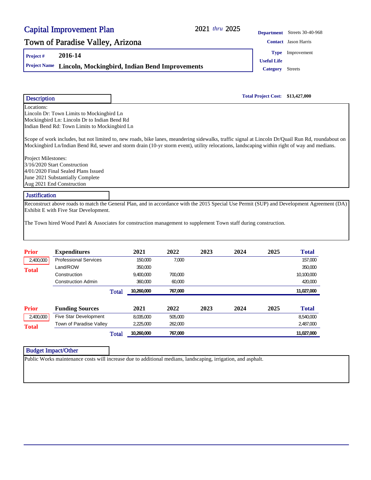|                            | <b>Capital Improvement Plan</b>                                                                                                                                                                                                                                                                  |              |                                                |         | 2021 thru 2025 |      |                                         | Department Streets 30-40-968 |  |
|----------------------------|--------------------------------------------------------------------------------------------------------------------------------------------------------------------------------------------------------------------------------------------------------------------------------------------------|--------------|------------------------------------------------|---------|----------------|------|-----------------------------------------|------------------------------|--|
|                            | Town of Paradise Valley, Arizona                                                                                                                                                                                                                                                                 |              |                                                |         |                |      |                                         | <b>Contact</b> Jason Harris  |  |
| Project#                   | 2016-14                                                                                                                                                                                                                                                                                          |              |                                                |         |                |      | Type                                    | Improvement                  |  |
| <b>Project Name</b>        |                                                                                                                                                                                                                                                                                                  |              | Lincoln, Mockingbird, Indian Bend Improvements |         |                |      | <b>Useful Life</b><br><b>Category</b>   | <b>Streets</b>               |  |
|                            |                                                                                                                                                                                                                                                                                                  |              |                                                |         |                |      | <b>Total Project Cost: \$13,427,000</b> |                              |  |
| Description<br>Locations:  |                                                                                                                                                                                                                                                                                                  |              |                                                |         |                |      |                                         |                              |  |
|                            | Lincoln Dr: Town Limits to Mockingbird Ln<br>Mockingbird Ln: Lincoln Dr to Indian Bend Rd<br>Indian Bend Rd: Town Limits to Mockingbird Ln                                                                                                                                                       |              |                                                |         |                |      |                                         |                              |  |
|                            | Scope of work includes, but not limited to, new roads, bike lanes, meandering sidewalks, traffic signal at Lincoln Dr/Quail Run Rd, roundabout on<br>Mockingbird Ln/Indian Bend Rd, sewer and storm drain (10-yr storm event), utility relocations, landscaping within right of way and medians. |              |                                                |         |                |      |                                         |                              |  |
| Project Milestones:        | 3/16/2020 Start Construction<br>4/01/2020 Final Sealed Plans Issued<br>June 2021 Substantially Complete<br>Aug 2021 End Construction                                                                                                                                                             |              |                                                |         |                |      |                                         |                              |  |
| <b>Justification</b>       |                                                                                                                                                                                                                                                                                                  |              |                                                |         |                |      |                                         |                              |  |
|                            | Reconstruct above roads to match the General Plan, and in accordance with the 2015 Special Use Permit (SUP) and Development Agreement (DA)                                                                                                                                                       |              |                                                |         |                |      |                                         |                              |  |
|                            | Exhibit E with Five Star Development.<br>The Town hired Wood Patel & Associates for construction management to supplement Town staff during construction.                                                                                                                                        |              |                                                |         |                |      |                                         |                              |  |
| <b>Prior</b>               | <b>Expenditures</b>                                                                                                                                                                                                                                                                              |              | 2021                                           | 2022    | 2023           | 2024 | 2025                                    | <b>Total</b>                 |  |
| 2,400,000                  | <b>Professional Services</b>                                                                                                                                                                                                                                                                     |              | 150,000                                        | 7,000   |                |      |                                         | 157,000                      |  |
| <b>Total</b>               | Land/ROW                                                                                                                                                                                                                                                                                         |              | 350,000                                        |         |                |      |                                         | 350,000                      |  |
|                            | Construction                                                                                                                                                                                                                                                                                     |              | 9,400,000                                      | 700,000 |                |      |                                         | 10,100,000                   |  |
|                            | <b>Construction Admin</b>                                                                                                                                                                                                                                                                        |              | 360,000                                        | 60,000  |                |      |                                         | 420,000                      |  |
|                            |                                                                                                                                                                                                                                                                                                  | <b>Total</b> | 10,260,000                                     | 767,000 |                |      |                                         | 11,027,000                   |  |
| <b>Prior</b>               | <b>Funding Sources</b>                                                                                                                                                                                                                                                                           |              | 2021                                           | 2022    | 2023           | 2024 | 2025                                    | <b>Total</b>                 |  |
| 2,400,000                  | Five Star Development                                                                                                                                                                                                                                                                            |              | 8,035,000                                      | 505,000 |                |      |                                         | 8,540,000                    |  |
| <b>Total</b>               | Town of Paradise Valley                                                                                                                                                                                                                                                                          |              | 2,225,000                                      | 262,000 |                |      |                                         | 2,487,000                    |  |
|                            |                                                                                                                                                                                                                                                                                                  | <b>Total</b> | 10,260,000                                     | 767,000 |                |      |                                         | 11,027,000                   |  |
| <b>Budget Impact/Other</b> |                                                                                                                                                                                                                                                                                                  |              |                                                |         |                |      |                                         |                              |  |
|                            | Public Works maintenance costs will increase due to additional medians, landscaping, irrigation, and asphalt.                                                                                                                                                                                    |              |                                                |         |                |      |                                         |                              |  |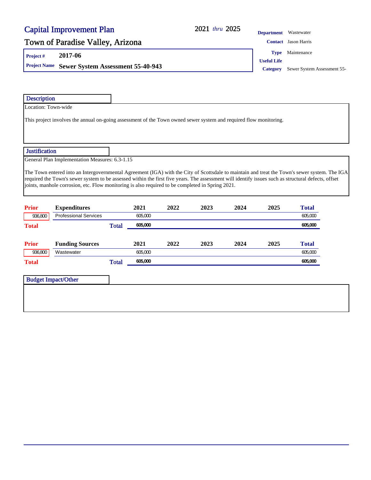### 2021 thru 2025

### Town of Paradise Valley, Arizona **Contact Jason Harris** Contact Jason Harris

**Project # 2017-06**

**Project Name** Sewer System Assessment 55-40-943 **Category** Sewer System Assessment 55-

**Department** Wastewater

**Type** Maintenance

**Useful Life**

| <b>Description</b>      |                                                                                                                                                                                                                                                                                                                                                                                                          |              |                 |      |      |      |      |                         |  |
|-------------------------|----------------------------------------------------------------------------------------------------------------------------------------------------------------------------------------------------------------------------------------------------------------------------------------------------------------------------------------------------------------------------------------------------------|--------------|-----------------|------|------|------|------|-------------------------|--|
| Location: Town-wide     |                                                                                                                                                                                                                                                                                                                                                                                                          |              |                 |      |      |      |      |                         |  |
|                         | This project involves the annual on-going assessment of the Town owned sewer system and required flow monitoring.                                                                                                                                                                                                                                                                                        |              |                 |      |      |      |      |                         |  |
| <b>Justification</b>    |                                                                                                                                                                                                                                                                                                                                                                                                          |              |                 |      |      |      |      |                         |  |
|                         | General Plan Implementation Measures: 6.3-1.15                                                                                                                                                                                                                                                                                                                                                           |              |                 |      |      |      |      |                         |  |
|                         | The Town entered into an Intergovernmental Agreement (IGA) with the City of Scottsdale to maintain and treat the Town's sewer system. The IGA<br>required the Town's sewer system to be assessed within the first five years. The assessment will identify issues such as structural defects, offset<br>joints, manhole corrosion, etc. Flow monitoring is also required to be completed in Spring 2021. |              |                 |      |      |      |      |                         |  |
| <b>Prior</b><br>936,800 | <b>Expenditures</b><br><b>Professional Services</b>                                                                                                                                                                                                                                                                                                                                                      |              | 2021<br>605,000 | 2022 | 2023 | 2024 | 2025 | <b>Total</b><br>605,000 |  |
| <b>Total</b>            |                                                                                                                                                                                                                                                                                                                                                                                                          | <b>Total</b> | 605,000         |      |      |      |      | 605,000                 |  |
| <b>Prior</b>            | <b>Funding Sources</b>                                                                                                                                                                                                                                                                                                                                                                                   |              | 2021            | 2022 | 2023 | 2024 | 2025 | <b>Total</b>            |  |
| 936,800                 | Wastewater                                                                                                                                                                                                                                                                                                                                                                                               |              | 605,000         |      |      |      |      | 605,000                 |  |
| <b>Total</b>            |                                                                                                                                                                                                                                                                                                                                                                                                          | <b>Total</b> | 605,000         |      |      |      |      | 605,000                 |  |
|                         |                                                                                                                                                                                                                                                                                                                                                                                                          |              |                 |      |      |      |      |                         |  |
|                         | <b>Budget Impact/Other</b>                                                                                                                                                                                                                                                                                                                                                                               |              |                 |      |      |      |      |                         |  |
|                         |                                                                                                                                                                                                                                                                                                                                                                                                          |              |                 |      |      |      |      |                         |  |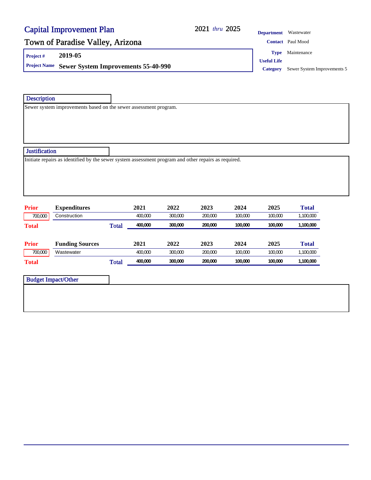#### 2021 thru 2025

**Department** Wastewater

### Town of Paradise Valley, Arizona **Contact** Paul Mood Contact Paul Mood

**Project # 2019-05**

**Project Name** Sewer System Improvements 55-40-990 **Category** Sewer System Improvements 5

**Type** Maintenance

**Useful Life**

**Description** 

Sewer system improvements based on the sewer assessment program.

#### **Justification**

Initiate repairs as identified by the sewer system assessment program and other repairs as required.

| <b>Prior</b> | <b>Expenditures</b>    |       | 2021    | 2022    | 2023    | 2024    | 2025    | <b>Total</b> |
|--------------|------------------------|-------|---------|---------|---------|---------|---------|--------------|
| 700,000      | Construction           |       | 400.000 | 300,000 | 200.000 | 100.000 | 100,000 | 1,100,000    |
| <b>Total</b> |                        | Total | 400.000 | 300,000 | 200.000 | 100.000 | 100,000 | 1,100,000    |
|              |                        |       |         |         |         |         |         |              |
| <b>Prior</b> | <b>Funding Sources</b> |       | 2021    | 2022    | 2023    | 2024    | 2025    | <b>Total</b> |
| 700,000      | Wastewater             |       | 400,000 | 300,000 | 200.000 | 100.000 | 100,000 | 1,100,000    |
| <b>Total</b> |                        | Total | 400,000 | 300,000 | 200.000 | 100.000 | 100,000 | 1,100,000    |

| <b>Budget Impact/Other</b> |
|----------------------------|
|                            |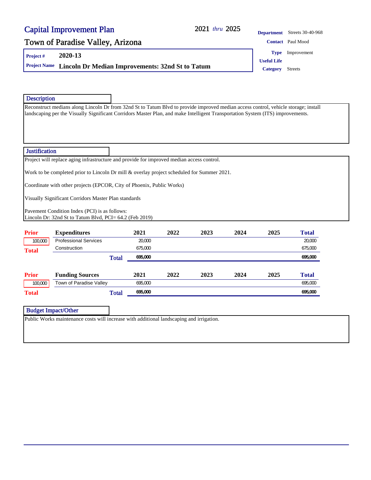#### 2021 thru 2025

### Town of Paradise Valley, Arizona **Contact** Paul Mood

**Project # 2020-13**

**Project Name Lincoln Dr Median Improvements: 32nd St to Tatum Category** Streets

**Department** Streets 30-40-968 **Useful Life Type** Improvement

#### Description

Reconstruct medians along Lincoln Dr from 32nd St to Tatum Blvd to provide improved median access control, vehicle storage; install landscaping per the Visually Significant Corridors Master Plan, and make Intelligent Transportation System (ITS) improvements.

#### **Justification**

Project will replace aging infrastructure and provide for improved median access control.

Work to be completed prior to Lincoln Dr mill & overlay project scheduled for Summer 2021.

Coordinate with other projects (EPCOR, City of Phoenix, Public Works)

Visually Significant Corridors Master Plan standards

Pavement Condition Index (PCI) is as follows: Lincoln Dr: 32nd St to Tatum Blvd, PCI= 64.2 (Feb 2019)

| <b>Prior</b> | <b>Expenditures</b>          | 2021    | 2022 | 2023 | 2024 | 2025 | <b>Total</b> |
|--------------|------------------------------|---------|------|------|------|------|--------------|
| 100,000      | <b>Professional Services</b> | 20,000  |      |      |      |      | 20,000       |
| <b>Total</b> | Construction                 | 675,000 |      |      |      |      | 675,000      |
|              | <b>Total</b>                 | 695,000 |      |      |      |      | 695,000      |
| <b>Prior</b> | <b>Funding Sources</b>       | 2021    | 2022 | 2023 | 2024 | 2025 | <b>Total</b> |
| 100,000      | Town of Paradise Valley      | 695,000 |      |      |      |      | 695,000      |
| <b>Total</b> | <b>Total</b>                 | 695,000 |      |      |      |      | 695,000      |

| <b>Budget Impact/Other</b> |  |
|----------------------------|--|

Public Works maintenance costs will increase with additional landscaping and irrigation.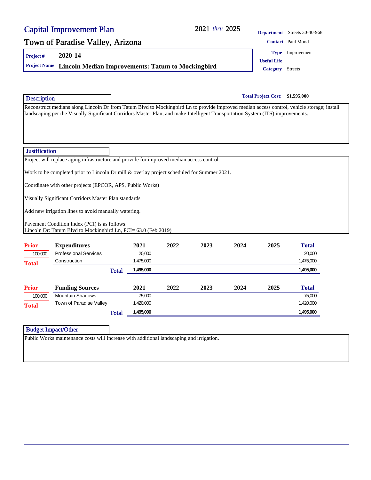#### 2021 thru 2025

### Town of Paradise Valley, Arizona **Contact Paul Mood** Contact Paul Mood

**Project # 2020-14**

**Project Name Lincoln Median Improvements: Tatum to Mockingbird Category** Streets

**Total Project Cost: \$1,595,000**

Reconstruct medians along Lincoln Dr from Tatum Blvd to Mockingbird Ln to provide improved median access control, vehicle storage; install landscaping per the Visually Significant Corridors Master Plan, and make Intelligent Transportation System (ITS) improvements.

#### **Justification**

**Description** 

Project will replace aging infrastructure and provide for improved median access control.

Work to be completed prior to Lincoln Dr mill & overlay project scheduled for Summer 2021.

Coordinate with other projects (EPCOR, APS, Public Works)

Visually Significant Corridors Master Plan standards

Add new irrigation lines to avoid manually watering.

Pavement Condition Index (PCI) is as follows: Lincoln Dr: Tatum Blvd to Mockingbird Ln, PCI= 63.0 (Feb 2019)

| <b>Prior</b> | <b>Expenditures</b>          | 2021                      | 2022 | 2023 | 2024 | 2025 | <b>Total</b> |
|--------------|------------------------------|---------------------------|------|------|------|------|--------------|
| 100,000      | <b>Professional Services</b> | 20,000                    |      |      |      |      | 20,000       |
| <b>Total</b> | Construction                 | 1,475,000                 |      |      |      |      | 1,475,000    |
|              |                              | 1,495,000<br><b>Total</b> |      |      |      |      | 1,495,000    |
| <b>Prior</b> | <b>Funding Sources</b>       | 2021                      | 2022 | 2023 | 2024 | 2025 | <b>Total</b> |
| 100,000      | <b>Mountain Shadows</b>      | 75,000                    |      |      |      |      | 75,000       |
| <b>Total</b> | Town of Paradise Valley      | 1,420,000                 |      |      |      |      | 1,420,000    |
|              |                              | 1,495,000<br><b>Total</b> |      |      |      |      | 1,495,000    |

#### Budget Impact/Other

Public Works maintenance costs will increase with additional landscaping and irrigation.

**Department** Streets 30-40-968

**Type** Improvement

**Useful Life**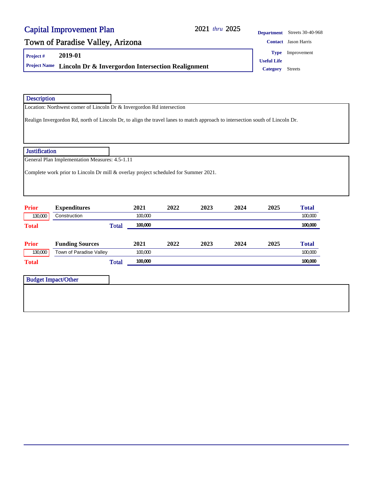### 2021 2025 *thru*

**Department** Streets 30-40-968

## Town of Paradise Valley, Arizona **Contact Jason Harris** Contact Jason Harris

**Project # 2019-01**

**Project Name Lincoln Dr & Invergordon Intersection Realignment Category** Streets

| ontact Jason Haitis     |
|-------------------------|
| <b>Type</b> Improvement |

**Useful Life**

| <b>Description</b>                                      |                                                                                                                               |         |      |      |      |      |              |
|---------------------------------------------------------|-------------------------------------------------------------------------------------------------------------------------------|---------|------|------|------|------|--------------|
|                                                         | Location: Northwest corner of Lincoln Dr & Invergordon Rd intersection                                                        |         |      |      |      |      |              |
|                                                         | Realign Invergordon Rd, north of Lincoln Dr, to align the travel lanes to match approach to intersection south of Lincoln Dr. |         |      |      |      |      |              |
| <b>Justification</b>                                    |                                                                                                                               |         |      |      |      |      |              |
|                                                         | General Plan Implementation Measures: 4.5-1.11                                                                                |         |      |      |      |      |              |
|                                                         | Complete work prior to Lincoln Dr mill & overlay project scheduled for Summer 2021.                                           |         |      |      |      |      |              |
|                                                         |                                                                                                                               |         |      |      |      |      |              |
|                                                         | <b>Expenditures</b>                                                                                                           | 2021    | 2022 | 2023 | 2024 | 2025 | <b>Total</b> |
| 130,000                                                 | Construction                                                                                                                  | 100,000 |      |      |      |      | 100,000      |
|                                                         | <b>Total</b>                                                                                                                  | 100,000 |      |      |      |      | 100,000      |
|                                                         | <b>Funding Sources</b>                                                                                                        | 2021    | 2022 | 2023 | 2024 | 2025 | <b>Total</b> |
| <b>Prior</b><br><b>Total</b><br><b>Prior</b><br>130,000 | Town of Paradise Valley                                                                                                       | 100,000 |      |      |      |      | 100,000      |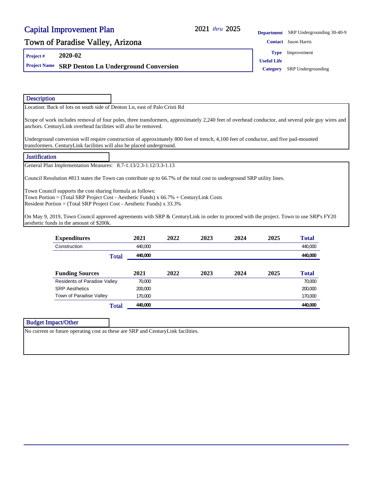#### 2021 thru 2025

**Department** SRP Undergrounding 30-40-9

### Town of Paradise Valley, Arizona **Contact Jason Harris** Contact Jason Harris

**Project # 2020-02**

**Project Name SRP Denton Ln Underground Conversion Category** SRP Undergrounding

**Type** Improvement

**Useful Life**

| <b>Description</b>                                                                                                                                                                                                                                                                                                                                                                                                                                                                               |              |         |      |      |      |      |              |  |
|--------------------------------------------------------------------------------------------------------------------------------------------------------------------------------------------------------------------------------------------------------------------------------------------------------------------------------------------------------------------------------------------------------------------------------------------------------------------------------------------------|--------------|---------|------|------|------|------|--------------|--|
| Location: Back of lots on south side of Denton Ln, east of Palo Cristi Rd                                                                                                                                                                                                                                                                                                                                                                                                                        |              |         |      |      |      |      |              |  |
| Scope of work includes removal of four poles, three transformers, approximately 2,240 feet of overhead conductor, and several pole guy wires and<br>anchors. CenturyLink overhead facilities will also be removed.                                                                                                                                                                                                                                                                               |              |         |      |      |      |      |              |  |
| Underground conversion will require construction of approximately 800 feet of trench, 4,100 feet of conductor, and five pad-mounted<br>transformers. CenturyLink facilities will also be placed underground.                                                                                                                                                                                                                                                                                     |              |         |      |      |      |      |              |  |
| <b>Justification</b>                                                                                                                                                                                                                                                                                                                                                                                                                                                                             |              |         |      |      |      |      |              |  |
| General Plan Implementation Measures: 8.7-1.13/2.3-1.12/3.3-1.13                                                                                                                                                                                                                                                                                                                                                                                                                                 |              |         |      |      |      |      |              |  |
| Council Resolution #813 states the Town can contribute up to 66.7% of the total cost to underground SRP utility lines.<br>Town Council supports the cost sharing formula as follows:<br>Town Portion = (Total SRP Project Cost - Aesthetic Funds) $x$ 66.7% + CenturyLink Costs<br>Resident Portion = (Total SRP Project Cost - Aesthetic Funds) x 33.3%<br>On May 9, 2019, Town Council approved agreements with SRP & CenturyLink in order to proceed with the project. Town to use SRP's FY20 |              |         |      |      |      |      |              |  |
| aesthetic funds in the amount of \$200k.                                                                                                                                                                                                                                                                                                                                                                                                                                                         |              |         |      |      |      |      |              |  |
| <b>Expenditures</b>                                                                                                                                                                                                                                                                                                                                                                                                                                                                              |              | 2021    | 2022 | 2023 | 2024 | 2025 | <b>Total</b> |  |
| Construction                                                                                                                                                                                                                                                                                                                                                                                                                                                                                     |              | 440,000 |      |      |      |      | 440,000      |  |
|                                                                                                                                                                                                                                                                                                                                                                                                                                                                                                  | <b>Total</b> | 440,000 |      |      |      |      | 440,000      |  |
| <b>Funding Sources</b>                                                                                                                                                                                                                                                                                                                                                                                                                                                                           |              | 2021    | 2022 | 2023 | 2024 | 2025 | <b>Total</b> |  |
| <b>Residents of Paradise Valley</b>                                                                                                                                                                                                                                                                                                                                                                                                                                                              |              | 70,000  |      |      |      |      | 70,000       |  |

SRP Aesthetics 200,000 200,000 Town of Paradise Valley 170,000 170,000 170,000 170,000 170,000 170,000 170,000 170,000 170,000 170,000 170,000

**Total 440,000 440,000 440,000 440,000 440,000 440,000 440,000 440,000 440,000 440,000 440,000 440,000 440,000** 

#### Budget Impact/Other

No current or future operating cost as these are SRP and CenturyLink facilities.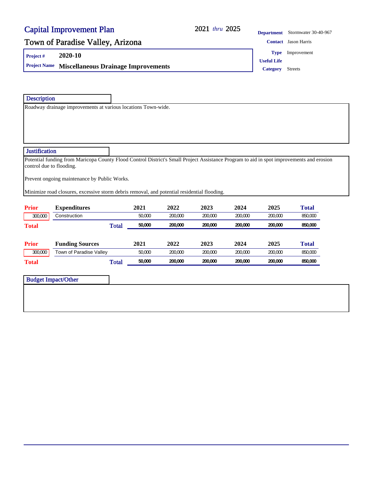#### 2021 thru 2025

**Department** Stormwater 30-40-967

### Town of Paradise Valley, Arizona **Contact Jason Harris** Contact Jason Harris

**Project # 2020-10**

**Project Name Miscellaneous Drainage Improvements Category** Streets

**Type** Improvement

**Useful Life**

Description

Roadway drainage improvements at various locations Town-wide.

#### **Justification**

Potential funding from Maricopa County Flood Control District's Small Project Assistance Program to aid in spot improvements and erosion control due to flooding.

Prevent ongoing maintenance by Public Works.

Minimize road closures, excessive storm debris removal, and potential residential flooding.

| <b>Prior</b> | <b>Expenditures</b>     | 2021   | 2022    | 2023    | 2024    | 2025    | Total   |
|--------------|-------------------------|--------|---------|---------|---------|---------|---------|
| 300,000      | Construction            | 50,000 | 200.000 | 200.000 | 200,000 | 200.000 | 850,000 |
| <b>Total</b> | <b>Total</b>            | 50,000 | 200,000 | 200.000 | 200,000 | 200,000 | 850,000 |
|              |                         |        |         |         |         |         |         |
| <b>Prior</b> | <b>Funding Sources</b>  | 2021   | 2022    | 2023    | 2024    | 2025    | Total   |
| 300,000      | Town of Paradise Valley | 50,000 | 200.000 | 200.000 | 200.000 | 200.000 | 850,000 |
| <b>Total</b> | <b>Total</b>            | 50,000 | 200,000 | 200.000 | 200,000 | 200.000 | 850,000 |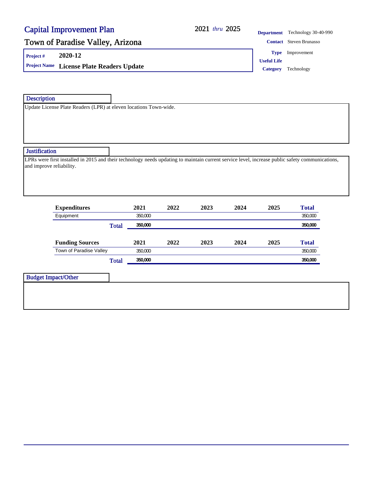#### 2021 thru 2025

**Department** Technology 30-40-990

### Town of Paradise Valley, Arizona **Contact Steven Brunasso** Contact Steven Brunasso

**Project # 2020-12**

**Project Name License Plate Readers Update Category** Technology

**Type** Improvement

**Useful Life**

**Description** 

Update License Plate Readers (LPR) at eleven locations Town-wide.

#### **Justification**

LPRs were first installed in 2015 and their technology needs updating to maintain current service level, increase public safety communications, and improve reliability.

| <b>Expenditures</b>     | 2021    | 2022 | 2023 | 2024 | 2025 | <b>Total</b> |
|-------------------------|---------|------|------|------|------|--------------|
| Equipment               | 350,000 |      |      |      |      | 350,000      |
| <b>Total</b>            | 350,000 |      |      |      |      | 350,000      |
| <b>Funding Sources</b>  | 2021    | 2022 | 2023 | 2024 | 2025 | <b>Total</b> |
| Town of Paradise Valley | 350,000 |      |      |      |      | 350,000      |
| <b>Total</b>            | 350,000 |      |      |      |      | 350,000      |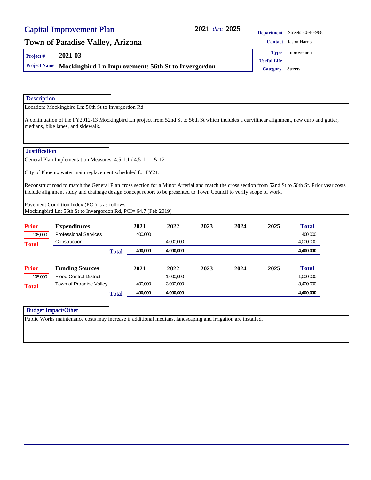#### 2021 thru 2025

#### **Department** Streets 30-40-968

### Town of Paradise Valley, Arizona **Contact Jason Harris** Contact Jason Harris

**Project # 2021-03**

**Project Name** Mockingbird Ln Improvement: 56th St to Invergordon **Category** Streets

**Type** Improvement

**Useful Life**

#### **Description**

Location: Mockingbird Ln: 56th St to Invergordon Rd

A continuation of the FY2012-13 Mockingbird Ln project from 52nd St to 56th St which includes a curvilinear alignment, new curb and gutter, medians, bike lanes, and sidewalk.

#### **Justification**

General Plan Implementation Measures: 4.5-1.1 / 4.5-1.11 & 12

City of Phoenix water main replacement scheduled for FY21.

Reconstruct road to match the General Plan cross section for a Minor Arterial and match the cross section from 52nd St to 56th St. Prior year costs include alignment study and drainage design concept report to be presented to Town Council to verify scope of work.

Pavement Condition Index (PCI) is as follows: Mockingbird Ln: 56th St to Invergordon Rd, PCI= 64.7 (Feb 2019)

| <b>Prior</b> | <b>Expenditures</b>           |              | 2021    | 2022      | 2023 | 2024 | 2025 | <b>Total</b> |
|--------------|-------------------------------|--------------|---------|-----------|------|------|------|--------------|
| 105,000      | <b>Professional Services</b>  |              | 400,000 |           |      |      |      | 400,000      |
| <b>Total</b> | Construction                  |              |         | 4,000,000 |      |      |      | 4,000,000    |
|              |                               | <b>Total</b> | 400,000 | 4,000,000 |      |      |      | 4,400,000    |
| <b>Prior</b> | <b>Funding Sources</b>        |              | 2021    | 2022      | 2023 | 2024 | 2025 | <b>Total</b> |
| 105,000      | <b>Flood Control District</b> |              |         | 1,000,000 |      |      |      | 1.000.000    |
| <b>Total</b> | Town of Paradise Valley       |              | 400.000 | 3,000,000 |      |      |      | 3,400,000    |
|              |                               | <b>Total</b> | 400,000 | 4.000.000 |      |      |      | 4,400,000    |

|--|

Public Works maintenance costs may increase if additional medians, landscaping and irrigation are installed.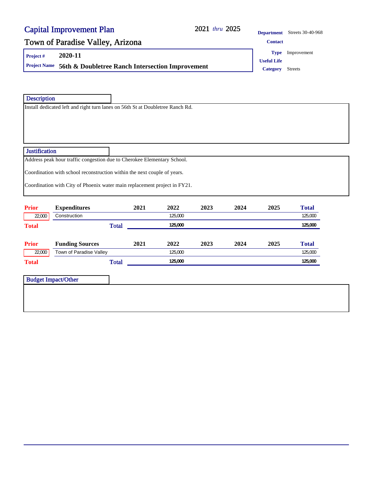#### 2021 thru 2025

**Department** Streets 30-40-968

### Town of Paradise Valley, Arizona **CONTACT CONTACT CONTACT**

**Project # 2020-11**

**Project Name 56th & Doubletree Ranch Intersection Improvement Category** Streets

**Useful Life Type** Improvement

**Description** 

Install dedicated left and right turn lanes on 56th St at Doubletree Ranch Rd.

#### **Justification**

Address peak hour traffic congestion due to Cherokee Elementary School.

Coordination with school reconstruction within the next couple of years.

Coordination with City of Phoenix water main replacement project in FY21.

| <b>Prior</b> | <b>Expenditures</b>     | 2021 | 2022    | 2023 | 2024 | 2025 | <b>Total</b> |
|--------------|-------------------------|------|---------|------|------|------|--------------|
| 22,000       | Construction            |      | 125,000 |      |      |      | 125,000      |
| <b>Total</b> | <b>Total</b>            |      | 125,000 |      |      |      | 125,000      |
|              |                         |      |         |      |      |      |              |
| <b>Prior</b> | <b>Funding Sources</b>  | 2021 | 2022    | 2023 | 2024 | 2025 | Total        |
| 22,000       | Town of Paradise Valley |      | 125,000 |      |      |      | 125,000      |
| <b>Total</b> | <b>Total</b>            |      | 125,000 |      |      |      | 125,000      |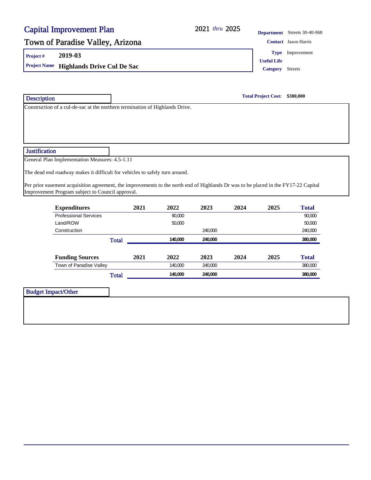#### 2021 thru 2025

**Department** Streets 30-40-968

**Type** Improvement

### Town of Paradise Valley, Arizona **Contact Jason Harris** Contact Jason Harris

**Project # 2019-03**

**Project Name Highlands Drive Cul De Sac Category** Streets

**Total Project Cost: \$380,000**

**Useful Life**

Construction of a cul-de-sac at the northern termination of Highlands Drive.

#### **Justification**

**Description** 

General Plan Implementation Measures: 4.5-1.11

The dead end roadway makes it difficult for vehicles to safely turn around.

Per prior easement acquisition agreement, the improvements to the north end of Highlands Dr was to be placed in the FY17-22 Capital Improvement Program subject to Council approval.

| <b>Expenditures</b>          | 2021 | 2022    | 2023    | 2024 | 2025 | <b>Total</b> |
|------------------------------|------|---------|---------|------|------|--------------|
| <b>Professional Services</b> |      | 90.000  |         |      |      | 90,000       |
| Land/ROW                     |      | 50,000  |         |      |      | 50,000       |
| Construction                 |      |         | 240.000 |      |      | 240,000      |
| Total                        |      | 140.000 | 240.000 |      |      | 380,000      |
|                              |      |         |         |      |      |              |
| <b>Funding Sources</b>       | 2021 | 2022    | 2023    | 2024 | 2025 | <b>Total</b> |
| Town of Paradise Valley      |      | 140,000 | 240.000 |      |      | 380,000      |
| Total                        |      | 140,000 | 240.000 |      |      | 380,000      |

| <b>Budget Impact/Other</b> |  |
|----------------------------|--|
|                            |  |
|                            |  |
|                            |  |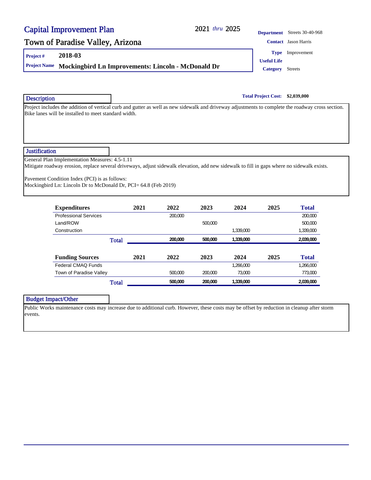#### 2021 thru 2025

#### **Department** Streets 30-40-968

### Town of Paradise Valley, Arizona **Contact Jason Harris** Contact Jason Harris

**Project # 2018-03**

**Project Name** Mockingbird Ln Improvements: Lincoln - McDonald Dr **Category** Streets

**Useful Life Type** Improvement

**Total Project Cost: \$2,039,000**

Project includes the addition of vertical curb and gutter as well as new sidewalk and driveway adjustments to complete the roadway cross section. Bike lanes will be installed to meet standard width.

#### **Justification**

**Description** 

General Plan Implementation Measures: 4.5-1.11

Mitigate roadway erosion, replace several driveways, adjust sidewalk elevation, add new sidewalk to fill in gaps where no sidewalk exists.

Pavement Condition Index (PCI) is as follows:

Mockingbird Ln: Lincoln Dr to McDonald Dr, PCI= 64.8 (Feb 2019)

| <b>Expenditures</b>          | 2021 | 2022    | 2023    | 2024      | 2025 | <b>Total</b> |
|------------------------------|------|---------|---------|-----------|------|--------------|
| <b>Professional Services</b> |      | 200.000 |         |           |      | 200.000      |
| Land/ROW                     |      |         | 500,000 |           |      | 500,000      |
| Construction                 |      |         |         | 1.339.000 |      | 1,339,000    |
| <b>Total</b>                 |      | 200,000 | 500,000 | 1,339,000 |      | 2,039,000    |
|                              |      |         |         |           |      |              |
| <b>Funding Sources</b>       | 2021 | 2022    | 2023    | 2024      | 2025 | <b>Total</b> |
| Federal CMAQ Funds           |      |         |         | 1,266,000 |      | 1.266.000    |
| Town of Paradise Valley      |      | 500.000 | 200,000 | 73.000    |      | 773,000      |
| <b>Total</b>                 |      | 500,000 | 200.000 | 1,339,000 |      | 2.039.000    |

#### Budget Impact/Other

Public Works maintenance costs may increase due to additional curb. However, these costs may be offset by reduction in cleanup after storm events.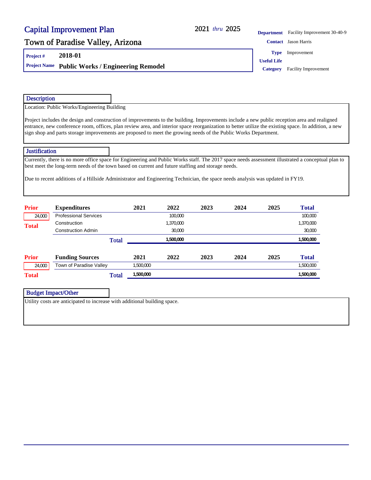#### 2021 thru 2025

**Department** Facility Improvement 30-40-9

### Town of Paradise Valley, Arizona **Contact Jason Harris** Contact Jason Harris

**Project # 2018-01**

**Project Name Public Works / Engineering Remodel Category Facility Improvement** 

**Type** Improvement

**Useful Life**

#### **Description**

Location: Public Works/Engineering Building

Project includes the design and construction of improvements to the building. Improvements include a new public reception area and realigned entrance, new conference room, offices, plan review area, and interior space reorganization to better utilize the existing space. In addition, a new sign shop and parts storage improvements are proposed to meet the growing needs of the Public Works Department.

#### **Justification**

Currently, there is no more office space for Engineering and Public Works staff. The 2017 space needs assessment illustrated a conceptual plan to best meet the long-term needs of the town based on current and future staffing and storage needs.

Due to recent additions of a Hillside Administrator and Engineering Technician, the space needs analysis was updated in FY19.

| <b>Prior</b> | <b>Expenditures</b>          | 2021      | 2022      | 2023 | 2024 | 2025 | <b>Total</b> |
|--------------|------------------------------|-----------|-----------|------|------|------|--------------|
| 24,000       | <b>Professional Services</b> |           | 100,000   |      |      |      | 100,000      |
| <b>Total</b> | Construction                 |           | 1,370,000 |      |      |      | 1,370,000    |
|              | <b>Construction Admin</b>    |           | 30,000    |      |      |      | 30,000       |
|              | <b>Total</b>                 |           | 1,500,000 |      |      |      | 1,500,000    |
| <b>Prior</b> | <b>Funding Sources</b>       | 2021      | 2022      | 2023 | 2024 | 2025 | <b>Total</b> |
| 24,000       | Town of Paradise Valley      | 1,500,000 |           |      |      |      | 1,500,000    |
| <b>Total</b> | <b>Total</b>                 | 1,500,000 |           |      |      |      | 1,500,000    |

Budget Impact/Other

Utility costs are anticipated to increase with additional building space.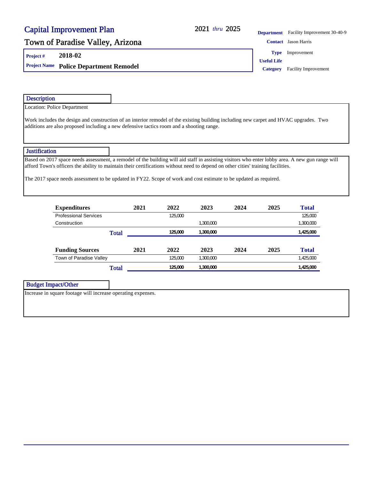### 2021 thru 2025

**Department** Facility Improvement 30-40-9

### Town of Paradise Valley, Arizona **Contact Jason Harris** Contact Jason Harris

**Project # 2018-02**

**Project Name Police Department Remodel Category** Facility Improvement

**Type** Improvement

**Useful Life**

| <b>Description</b>   |                                                                                                                                                                                                                                                                                                                                                                                                          |              |      |         |           |      |      |              |  |
|----------------------|----------------------------------------------------------------------------------------------------------------------------------------------------------------------------------------------------------------------------------------------------------------------------------------------------------------------------------------------------------------------------------------------------------|--------------|------|---------|-----------|------|------|--------------|--|
|                      | Location: Police Department                                                                                                                                                                                                                                                                                                                                                                              |              |      |         |           |      |      |              |  |
|                      | Work includes the design and construction of an interior remodel of the existing building including new carpet and HVAC upgrades. Two<br>additions are also proposed including a new defensive tactics room and a shooting range.                                                                                                                                                                        |              |      |         |           |      |      |              |  |
| <b>Justification</b> |                                                                                                                                                                                                                                                                                                                                                                                                          |              |      |         |           |      |      |              |  |
|                      | Based on 2017 space needs assessment, a remodel of the building will aid staff in assisting visitors who enter lobby area. A new gun range will<br>afford Town's officers the ability to maintain their certifications without need to depend on other cities' training facilities.<br>The 2017 space needs assessment to be updated in FY22. Scope of work and cost estimate to be updated as required. |              |      |         |           |      |      |              |  |
|                      |                                                                                                                                                                                                                                                                                                                                                                                                          |              |      |         |           |      |      |              |  |
|                      |                                                                                                                                                                                                                                                                                                                                                                                                          |              | 2021 | 2022    | 2023      | 2024 | 2025 | <b>Total</b> |  |
|                      | <b>Expenditures</b><br><b>Professional Services</b>                                                                                                                                                                                                                                                                                                                                                      |              |      | 125,000 |           |      |      | 125,000      |  |
|                      | Construction                                                                                                                                                                                                                                                                                                                                                                                             |              |      |         | 1,300,000 |      |      | 1,300,000    |  |
|                      |                                                                                                                                                                                                                                                                                                                                                                                                          | <b>Total</b> |      | 125,000 | 1,300,000 |      |      | 1,425,000    |  |
|                      | <b>Funding Sources</b>                                                                                                                                                                                                                                                                                                                                                                                   |              | 2021 | 2022    | 2023      | 2024 | 2025 | <b>Total</b> |  |
|                      | Town of Paradise Valley                                                                                                                                                                                                                                                                                                                                                                                  |              |      | 125,000 | 1,300,000 |      |      | 1,425,000    |  |
|                      |                                                                                                                                                                                                                                                                                                                                                                                                          | <b>Total</b> |      | 125,000 | 1,300,000 |      |      | 1,425,000    |  |

Increase in square footage will increase operating expenses.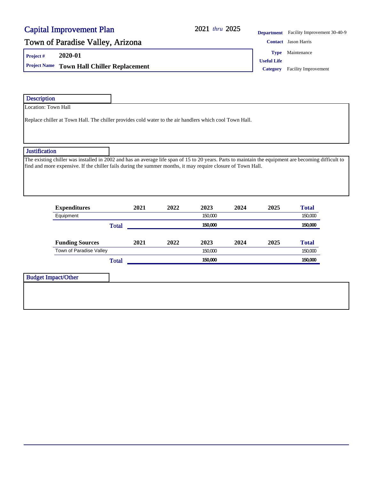### 2021 thru 2025

**Department** Facility Improvement 30-40-9

### Town of Paradise Valley, Arizona **Contact Jason Harris** Contact Jason Harris

**Project # 2020-01**

**Project Name Town Hall Chiller Replacement Category** Facility Improvement

**Type** Maintenance

**Useful Life**

| <b>Description</b>                                                                                                                                                                                                                                                   |      |      |      |      |      |              |
|----------------------------------------------------------------------------------------------------------------------------------------------------------------------------------------------------------------------------------------------------------------------|------|------|------|------|------|--------------|
| Location: Town Hall                                                                                                                                                                                                                                                  |      |      |      |      |      |              |
| Replace chiller at Town Hall. The chiller provides cold water to the air handlers which cool Town Hall.                                                                                                                                                              |      |      |      |      |      |              |
| <b>Justification</b>                                                                                                                                                                                                                                                 |      |      |      |      |      |              |
| The existing chiller was installed in 2002 and has an average life span of 15 to 20 years. Parts to maintain the equipment are becoming difficult to<br>find and more expensive. If the chiller fails during the summer months, it may require closure of Town Hall. |      |      |      |      |      |              |
| <b>Expenditures</b>                                                                                                                                                                                                                                                  | 2021 | 2022 | 2023 | 2024 | 2025 | <b>Total</b> |

| <b>Expenditures</b>     | 2021 | 2022 | 2023    | 2024    | 2025 | Total   |
|-------------------------|------|------|---------|---------|------|---------|
| Equipment               |      |      | 150.000 |         |      | 150,000 |
| <b>Total</b>            |      |      | 150,000 |         |      | 150,000 |
|                         |      |      |         |         |      |         |
| <b>Funding Sources</b>  | 2021 | 2022 | 2023    | 2024    | 2025 | Total   |
| Town of Paradise Valley |      |      |         | 150.000 |      |         |
| <b>Total</b>            |      |      | 150,000 |         |      | 150,000 |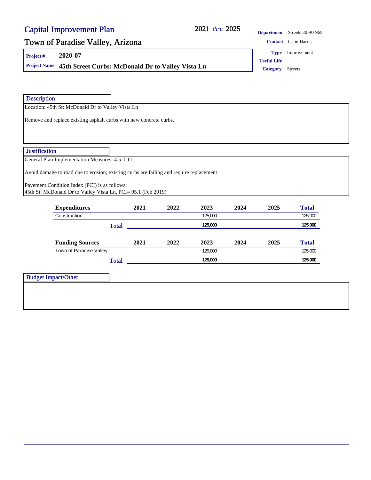### 2021 thru 2025

| <b>Department</b> Streets 30-40-968 |
|-------------------------------------|
|                                     |

### Town of Paradise Valley, Arizona **Contact Jason Harris** Contact Jason Harris

Location: 45th St: McDonald Dr to Valley Vista Ln

**Project # 2020-07**

**Description** 

**Project Name** 45th Street Curbs: McDonald Dr to Valley Vista Ln **Category** Streets

**Type** Improvement

**Useful Life**

|                      | <b>Expenditures</b>                                                                      | 2021 | 2022 | 2023 | 2024 | 2025 | <b>Total</b> |
|----------------------|------------------------------------------------------------------------------------------|------|------|------|------|------|--------------|
|                      | 45th St: McDonald Dr to Valley Vista Ln, PCI= 95.1 (Feb 2019)                            |      |      |      |      |      |              |
|                      | Pavement Condition Index (PCI) is as follows:                                            |      |      |      |      |      |              |
|                      |                                                                                          |      |      |      |      |      |              |
|                      | Avoid damage to road due to erosion; existing curbs are failing and require replacement. |      |      |      |      |      |              |
|                      | General Plan Implementation Measures: 4.5-1.11                                           |      |      |      |      |      |              |
|                      |                                                                                          |      |      |      |      |      |              |
| <b>Justification</b> |                                                                                          |      |      |      |      |      |              |
|                      |                                                                                          |      |      |      |      |      |              |
|                      |                                                                                          |      |      |      |      |      |              |
|                      |                                                                                          |      |      |      |      |      |              |
|                      |                                                                                          |      |      |      |      |      |              |
|                      | Remove and replace existing asphalt curbs with new concrete curbs.                       |      |      |      |      |      |              |
|                      |                                                                                          |      |      |      |      |      |              |

| <b>EAPCHUIGH</b> CS     | 494 L | <i>AVAA</i> | -----   | ---- | - - - | 1 viai       |
|-------------------------|-------|-------------|---------|------|-------|--------------|
| Construction            |       |             | 125,000 |      |       | 125,000      |
| <b>Total</b>            |       |             | 125,000 |      |       | 125,000      |
|                         |       |             |         |      |       |              |
| <b>Funding Sources</b>  | 2021  | 2022        | 2023    | 2024 | 2025  | <b>Total</b> |
| Town of Paradise Valley |       |             | 125,000 |      |       | 125,000      |
| Total                   |       |             | 125,000 |      |       | 125,000      |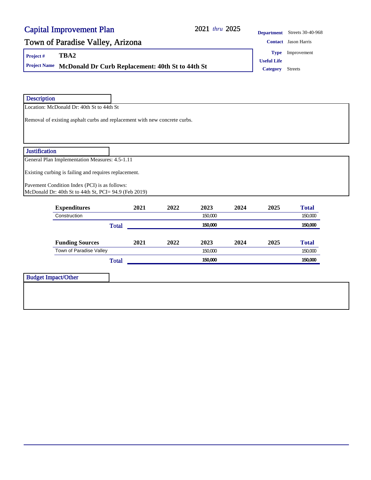### 2021 2025 *thru*

**Department** Streets 30-40-968

### Town of Paradise Valley, Arizona **Contact Jason Harris** Contact Jason Harris

**Project # TBA2**

**Project Name McDonald Dr Curb Replacement: 40th St to 44th St Category** Streets

**Type** Improvement

**Useful Life**

| Location: McDonald Dr: 40th St to 44th St<br>Removal of existing asphalt curbs and replacement with new concrete curbs.<br>General Plan Implementation Measures: 4.5-1.11<br>Existing curbing is failing and requires replacement.<br>Pavement Condition Index (PCI) is as follows:<br>McDonald Dr: 40th St to 44th St, PCI= 94.9 (Feb 2019) |      |              |         |         |      |              |
|----------------------------------------------------------------------------------------------------------------------------------------------------------------------------------------------------------------------------------------------------------------------------------------------------------------------------------------------|------|--------------|---------|---------|------|--------------|
|                                                                                                                                                                                                                                                                                                                                              |      |              |         |         |      |              |
|                                                                                                                                                                                                                                                                                                                                              |      |              |         |         |      |              |
|                                                                                                                                                                                                                                                                                                                                              |      |              |         |         |      |              |
|                                                                                                                                                                                                                                                                                                                                              |      |              |         |         |      |              |
|                                                                                                                                                                                                                                                                                                                                              |      |              |         |         |      |              |
|                                                                                                                                                                                                                                                                                                                                              |      |              |         |         |      |              |
|                                                                                                                                                                                                                                                                                                                                              |      |              |         |         |      |              |
|                                                                                                                                                                                                                                                                                                                                              |      |              |         |         |      |              |
|                                                                                                                                                                                                                                                                                                                                              |      |              |         |         |      |              |
|                                                                                                                                                                                                                                                                                                                                              |      |              |         |         |      |              |
|                                                                                                                                                                                                                                                                                                                                              |      |              |         |         |      |              |
|                                                                                                                                                                                                                                                                                                                                              |      |              |         |         |      |              |
|                                                                                                                                                                                                                                                                                                                                              |      |              |         |         |      |              |
| <b>Expenditures</b>                                                                                                                                                                                                                                                                                                                          | 2021 | 2022         | 2023    | 2024    | 2025 | <b>Total</b> |
|                                                                                                                                                                                                                                                                                                                                              |      |              | 150,000 |         |      | 150,000      |
| <b>Total</b>                                                                                                                                                                                                                                                                                                                                 |      |              | 150,000 |         |      | 150,000      |
|                                                                                                                                                                                                                                                                                                                                              |      |              |         |         |      |              |
| <b>Funding Sources</b>                                                                                                                                                                                                                                                                                                                       | 2021 | 2022         | 2023    | 2024    | 2025 | <b>Total</b> |
| Town of Paradise Valley                                                                                                                                                                                                                                                                                                                      |      |              | 150,000 |         |      | 150,000      |
|                                                                                                                                                                                                                                                                                                                                              |      |              |         |         |      | 150,000      |
|                                                                                                                                                                                                                                                                                                                                              |      |              |         |         |      |              |
|                                                                                                                                                                                                                                                                                                                                              |      | <b>Total</b> |         | 150,000 |      |              |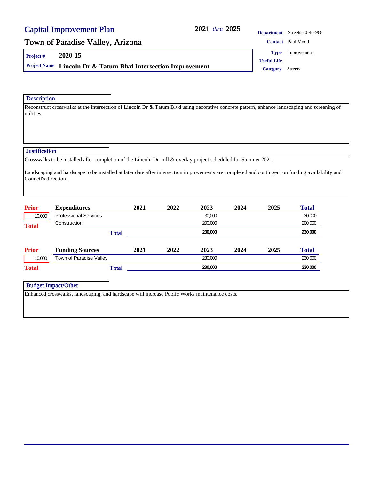#### 2021 thru 2025

### Town of Paradise Valley, Arizona **Contact** Paul Mood Contact Paul Mood

**Project # 2020-15**

**Project Name Lincoln Dr & Tatum Blvd Intersection Improvement Category** Streets

**Department** Streets 30-40-968 **Type** Improvement

**Useful Life**

#### Description

Reconstruct crosswalks at the intersection of Lincoln Dr & Tatum Blvd using decorative concrete pattern, enhance landscaping and screening of utilities.

#### **Justification**

Crosswalks to be installed after completion of the Lincoln Dr mill & overlay project scheduled for Summer 2021.

Landscaping and hardscape to be installed at later date after intersection improvements are completed and contingent on funding availability and Council's direction.

| <b>Prior</b> | <b>Expenditures</b>          | 2021 | 2022 | 2023    | 2024 | 2025 | <b>Total</b> |
|--------------|------------------------------|------|------|---------|------|------|--------------|
| 10,000       | <b>Professional Services</b> |      |      | 30,000  |      |      | 30,000       |
| <b>Total</b> | Construction                 |      |      | 200.000 |      |      | 200,000      |
|              | <b>Total</b>                 |      |      | 230.000 |      |      | 230,000      |
|              |                              |      |      |         |      |      |              |
| <b>Prior</b> | <b>Funding Sources</b>       | 2021 | 2022 | 2023    | 2024 | 2025 | <b>Total</b> |
| 10,000       | Town of Paradise Valley      |      |      | 230,000 |      |      | 230,000      |
| <b>Total</b> | <b>Total</b>                 |      |      | 230,000 |      |      | 230,000      |

Budget Impact/Other

Enhanced crosswalks, landscaping, and hardscape will increase Public Works maintenance costs.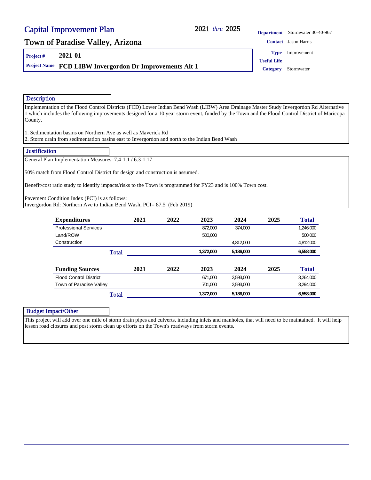#### 2021 thru 2025

### Town of Paradise Valley, Arizona **Contact Jason Harris** Contact Jason Harris

**Project # 2021-01**

**Project Name FCD LIBW Invergordon Dr Improvements Alt 1 Category** Stormwater

**Department** Stormwater 30-40-967 **Useful Life Type** Improvement

#### Description

Implementation of the Flood Control Districts (FCD) Lower Indian Bend Wash (LIBW) Area Drainage Master Study Invergordon Rd Alternative 1 which includes the following improvements designed for a 10 year storm event, funded by the Town and the Flood Control District of Maricopa County.

1. Sedimentation basins on Northern Ave as well as Maverick Rd

2. Storm drain from sedimentation basins east to Invergordon and north to the Indian Bend Wash

#### **Justification**

General Plan Implementation Measures: 7.4-1.1 / 6.3-1.17

50% match from Flood Control District for design and construction is assumed.

Benefit/cost ratio study to identify impacts/risks to the Town is programmed for FY23 and is 100% Town cost.

Pavement Condition Index (PCI) is as follows:

Invergordon Rd: Northern Ave to Indian Bend Wash, PCI= 87.5 (Feb 2019)

| <b>Expenditures</b>           | 2021 | 2022 | 2023      | 2024      | 2025 | <b>Total</b> |
|-------------------------------|------|------|-----------|-----------|------|--------------|
| <b>Professional Services</b>  |      |      | 872.000   | 374.000   |      | 1.246.000    |
| Land/ROW                      |      |      | 500,000   |           |      | 500.000      |
| Construction                  |      |      |           | 4.812.000 |      | 4,812,000    |
| <b>Total</b>                  |      |      | 1.372.000 | 5.186.000 |      | 6.558.000    |
|                               |      |      |           |           |      |              |
| <b>Funding Sources</b>        | 2021 | 2022 | 2023      | 2024      | 2025 | <b>Total</b> |
| <b>Flood Control District</b> |      |      | 671.000   | 2.593.000 |      | 3.264.000    |
| Town of Paradise Valley       |      |      | 701.000   | 2.593.000 |      | 3.294.000    |
| Total                         |      |      | 1,372,000 | 5,186,000 |      | 6.558.000    |

| <b>Budget Impact/Other</b> |                                                                                                                                                     |
|----------------------------|-----------------------------------------------------------------------------------------------------------------------------------------------------|
|                            | This project will add over one mile of storm drain pipes and culverts, including inlets and manholes, that will need to be maintained. It will help |
|                            | lessen road closures and post storm clean up efforts on the Town's roadways from storm events.                                                      |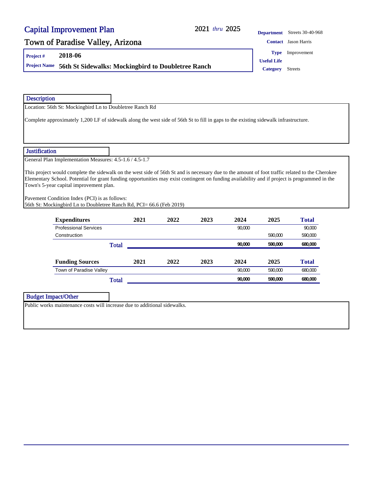### 2021 thru 2025

**Department** Streets 30-40-968

### Town of Paradise Valley, Arizona **Contact Jason Harris** Contact Jason Harris

**Project # 2018-06**

**Project Name 56th St Sidewalks: Mockingbird to Doubletree Ranch Category** Streets

**Type** Improvement

**Useful Life**

| <b>Description</b>                                                                                                                                               |      |      |      |        |         |              |  |
|------------------------------------------------------------------------------------------------------------------------------------------------------------------|------|------|------|--------|---------|--------------|--|
| Location: 56th St: Mockingbird Ln to Doubletree Ranch Rd                                                                                                         |      |      |      |        |         |              |  |
| Complete approximately 1,200 LF of sidewalk along the west side of 56th St to fill in gaps to the existing sidewalk infrastructure.                              |      |      |      |        |         |              |  |
|                                                                                                                                                                  |      |      |      |        |         |              |  |
| <b>Justification</b>                                                                                                                                             |      |      |      |        |         |              |  |
| General Plan Implementation Measures: 4.5-1.6 / 4.5-1.7                                                                                                          |      |      |      |        |         |              |  |
| Town's 5-year capital improvement plan.<br>Pavement Condition Index (PCI) is as follows:<br>56th St: Mockingbird Ln to Doubletree Ranch Rd, PCI= 66.6 (Feb 2019) |      |      |      |        |         |              |  |
| <b>Expenditures</b>                                                                                                                                              | 2021 | 2022 | 2023 | 2024   | 2025    | <b>Total</b> |  |
| <b>Professional Services</b>                                                                                                                                     |      |      |      | 90.000 |         | 90.000       |  |
| Construction                                                                                                                                                     |      |      |      |        | 590.000 | 590.000      |  |
| <b>Total</b>                                                                                                                                                     |      |      |      | 90,000 | 590,000 | 680,000      |  |
| <b>Funding Sources</b>                                                                                                                                           | 2021 | 2022 | 2023 | 2024   | 2025    | <b>Total</b> |  |
| Town of Paradise Valley                                                                                                                                          |      |      |      | 90.000 | 590.000 | 680,000      |  |
| <b>Total</b>                                                                                                                                                     |      |      |      | 90.000 | 590.000 | 680,000      |  |
|                                                                                                                                                                  |      |      |      |        |         |              |  |
| <b>Budget Impact/Other</b>                                                                                                                                       |      |      |      |        |         |              |  |
| Public works maintenance costs will increase due to additional sidewalks.                                                                                        |      |      |      |        |         |              |  |
|                                                                                                                                                                  |      |      |      |        |         |              |  |
|                                                                                                                                                                  |      |      |      |        |         |              |  |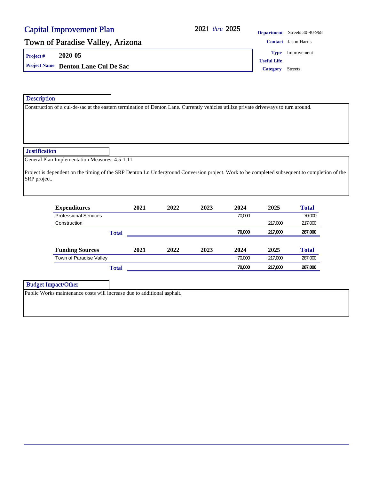#### 2021 thru 2025

**Department** Streets 30-40-968

### Town of Paradise Valley, Arizona **Contact Jason Harris** Contact Jason Harris

**Project # 2020-05**

Description

**Project Name Denton Lane Cul De Sac Category** Streets

**Useful Life Type** Improvement

Construction of a cul-de-sac at the eastern termination of Denton Lane. Currently vehicles utilize private driveways to turn around. **Justification** General Plan Implementation Measures: 4.5-1.11 Project is dependent on the timing of the SRP Denton Ln Underground Conversion project. Work to be completed subsequent to completion of the SRP project.

| <b>Expenditures</b>          | 2021 | 2022 | 2023 | 2024   | 2025    | <b>Total</b> |
|------------------------------|------|------|------|--------|---------|--------------|
| <b>Professional Services</b> |      |      |      | 70.000 |         | 70.000       |
| Construction                 |      |      |      |        | 217.000 | 217,000      |
| Total                        |      |      |      | 70,000 | 217,000 | 287,000      |
|                              |      |      |      |        |         |              |
|                              |      |      |      |        |         |              |
| <b>Funding Sources</b>       | 2021 | 2022 | 2023 | 2024   | 2025    | <b>Total</b> |
| Town of Paradise Valley      |      |      |      | 70.000 | 217.000 | 287,000      |

Budget Impact/Other

Public Works maintenance costs will increase due to additional asphalt.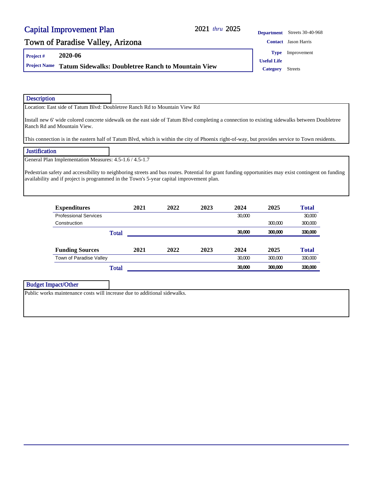#### 2021 thru 2025

### Town of Paradise Valley, Arizona **Contact Jason Harris** Contact Jason Harris

**Project # 2020-06**

**Project Name Tatum Sidewalks: Doubletree Ranch to Mountain View Category** Streets

**Department** Streets 30-40-968

**Type** Improvement

**Useful Life**

Description

Location: East side of Tatum Blvd: Doubletree Ranch Rd to Mountain View Rd

Install new 6' wide colored concrete sidewalk on the east side of Tatum Blvd completing a connection to existing sidewalks between Doubletree Ranch Rd and Mountain View.

This connection is in the eastern half of Tatum Blvd, which is within the city of Phoenix right-of-way, but provides service to Town residents.

#### **Justification**

General Plan Implementation Measures: 4.5-1.6 / 4.5-1.7

Pedestrian safety and accessibility to neighboring streets and bus routes. Potential for grant funding opportunities may exist contingent on funding availability and if project is programmed in the Town's 5-year capital improvement plan.

| <b>Expenditures</b>          | 2021 | 2022 | 2023 | 2024   | 2025    | <b>Total</b> |
|------------------------------|------|------|------|--------|---------|--------------|
| <b>Professional Services</b> |      |      |      | 30,000 |         | 30,000       |
| Construction                 |      |      |      |        | 300,000 | 300,000      |
| Total                        |      |      |      | 30,000 | 300,000 | 330,000      |
|                              |      |      |      |        |         |              |
|                              |      |      |      |        |         |              |
| <b>Funding Sources</b>       | 2021 | 2022 | 2023 | 2024   | 2025    | <b>Total</b> |
| Town of Paradise Valley      |      |      |      | 30.000 | 300,000 | 330,000      |

Budget Impact/Other

Public works maintenance costs will increase due to additional sidewalks.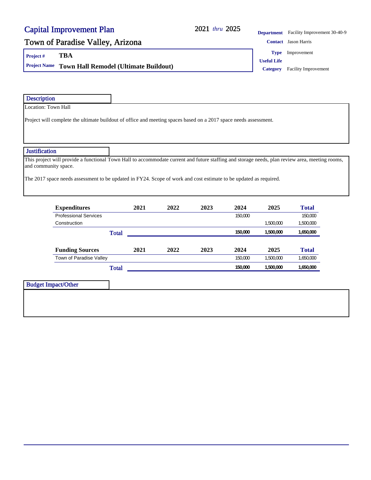### 2021 thru 2025

**Department** Facility Improvement 30-40-9

### Town of Paradise Valley, Arizona **Contact Jason Harris** Contact Jason Harris

**Project # TBA**

**Project Name Town Hall Remodel (Ultimate Buildout) Category** Facility Improvement

**Type** Improvement

**Useful Life**

| Location: Town Hall<br>Project will complete the ultimate buildout of office and meeting spaces based on a 2017 space needs assessment.<br><b>Justification</b><br>This project will provide a functional Town Hall to accommodate current and future staffing and storage needs, plan review area, meeting rooms,<br>and community space.<br>The 2017 space needs assessment to be updated in FY24. Scope of work and cost estimate to be updated as required.<br><b>Expenditures</b><br>2021<br>2022<br>2023<br>2024<br>2025<br><b>Total</b><br><b>Professional Services</b><br>150,000<br>150,000<br>Construction<br>1,500,000<br>1,500,000<br>150,000<br>1,500,000<br>1,650,000<br><b>Total</b><br><b>Funding Sources</b><br>2025<br><b>Total</b><br>2021<br>2022<br>2023<br>2024<br>Town of Paradise Valley<br>150,000<br>1,500,000<br>1,650,000<br>150,000<br>1,500,000<br>1,650,000<br><b>Total</b><br><b>Budget Impact/Other</b> |  |
|------------------------------------------------------------------------------------------------------------------------------------------------------------------------------------------------------------------------------------------------------------------------------------------------------------------------------------------------------------------------------------------------------------------------------------------------------------------------------------------------------------------------------------------------------------------------------------------------------------------------------------------------------------------------------------------------------------------------------------------------------------------------------------------------------------------------------------------------------------------------------------------------------------------------------------------|--|
|                                                                                                                                                                                                                                                                                                                                                                                                                                                                                                                                                                                                                                                                                                                                                                                                                                                                                                                                          |  |
|                                                                                                                                                                                                                                                                                                                                                                                                                                                                                                                                                                                                                                                                                                                                                                                                                                                                                                                                          |  |
|                                                                                                                                                                                                                                                                                                                                                                                                                                                                                                                                                                                                                                                                                                                                                                                                                                                                                                                                          |  |
|                                                                                                                                                                                                                                                                                                                                                                                                                                                                                                                                                                                                                                                                                                                                                                                                                                                                                                                                          |  |
|                                                                                                                                                                                                                                                                                                                                                                                                                                                                                                                                                                                                                                                                                                                                                                                                                                                                                                                                          |  |
|                                                                                                                                                                                                                                                                                                                                                                                                                                                                                                                                                                                                                                                                                                                                                                                                                                                                                                                                          |  |
|                                                                                                                                                                                                                                                                                                                                                                                                                                                                                                                                                                                                                                                                                                                                                                                                                                                                                                                                          |  |
|                                                                                                                                                                                                                                                                                                                                                                                                                                                                                                                                                                                                                                                                                                                                                                                                                                                                                                                                          |  |
|                                                                                                                                                                                                                                                                                                                                                                                                                                                                                                                                                                                                                                                                                                                                                                                                                                                                                                                                          |  |
|                                                                                                                                                                                                                                                                                                                                                                                                                                                                                                                                                                                                                                                                                                                                                                                                                                                                                                                                          |  |
|                                                                                                                                                                                                                                                                                                                                                                                                                                                                                                                                                                                                                                                                                                                                                                                                                                                                                                                                          |  |
|                                                                                                                                                                                                                                                                                                                                                                                                                                                                                                                                                                                                                                                                                                                                                                                                                                                                                                                                          |  |
|                                                                                                                                                                                                                                                                                                                                                                                                                                                                                                                                                                                                                                                                                                                                                                                                                                                                                                                                          |  |
|                                                                                                                                                                                                                                                                                                                                                                                                                                                                                                                                                                                                                                                                                                                                                                                                                                                                                                                                          |  |
|                                                                                                                                                                                                                                                                                                                                                                                                                                                                                                                                                                                                                                                                                                                                                                                                                                                                                                                                          |  |
|                                                                                                                                                                                                                                                                                                                                                                                                                                                                                                                                                                                                                                                                                                                                                                                                                                                                                                                                          |  |
|                                                                                                                                                                                                                                                                                                                                                                                                                                                                                                                                                                                                                                                                                                                                                                                                                                                                                                                                          |  |
|                                                                                                                                                                                                                                                                                                                                                                                                                                                                                                                                                                                                                                                                                                                                                                                                                                                                                                                                          |  |
|                                                                                                                                                                                                                                                                                                                                                                                                                                                                                                                                                                                                                                                                                                                                                                                                                                                                                                                                          |  |
|                                                                                                                                                                                                                                                                                                                                                                                                                                                                                                                                                                                                                                                                                                                                                                                                                                                                                                                                          |  |
|                                                                                                                                                                                                                                                                                                                                                                                                                                                                                                                                                                                                                                                                                                                                                                                                                                                                                                                                          |  |
|                                                                                                                                                                                                                                                                                                                                                                                                                                                                                                                                                                                                                                                                                                                                                                                                                                                                                                                                          |  |
|                                                                                                                                                                                                                                                                                                                                                                                                                                                                                                                                                                                                                                                                                                                                                                                                                                                                                                                                          |  |
|                                                                                                                                                                                                                                                                                                                                                                                                                                                                                                                                                                                                                                                                                                                                                                                                                                                                                                                                          |  |
|                                                                                                                                                                                                                                                                                                                                                                                                                                                                                                                                                                                                                                                                                                                                                                                                                                                                                                                                          |  |
|                                                                                                                                                                                                                                                                                                                                                                                                                                                                                                                                                                                                                                                                                                                                                                                                                                                                                                                                          |  |
|                                                                                                                                                                                                                                                                                                                                                                                                                                                                                                                                                                                                                                                                                                                                                                                                                                                                                                                                          |  |
|                                                                                                                                                                                                                                                                                                                                                                                                                                                                                                                                                                                                                                                                                                                                                                                                                                                                                                                                          |  |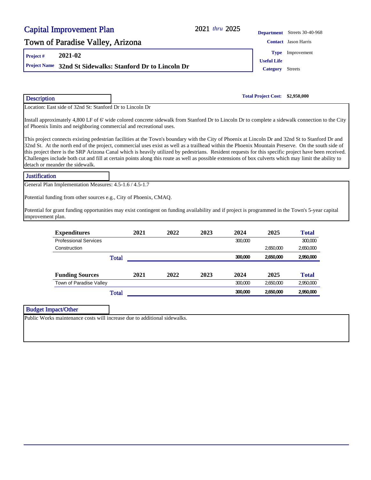| <b>Capital Improvement Plan</b>                                                                                                                  |                                              | 2021 thru 2025 | <b>Department</b>          | Streets 30-40-968           |
|--------------------------------------------------------------------------------------------------------------------------------------------------|----------------------------------------------|----------------|----------------------------|-----------------------------|
| Town of Paradise Valley, Arizona                                                                                                                 |                                              |                |                            | <b>Contact</b> Jason Harris |
| 2021-02<br>Project#                                                                                                                              |                                              |                | <b>Type</b>                | Improvement                 |
|                                                                                                                                                  |                                              |                | <b>Useful Life</b>         |                             |
| <b>Project Name</b>                                                                                                                              | 32nd St Sidewalks: Stanford Dr to Lincoln Dr |                | <b>Category</b>            | <b>Streets</b>              |
| <b>Description</b>                                                                                                                               |                                              |                | <b>Total Project Cost:</b> | \$2,950,000                 |
| Location: East side of 32nd St: Stanford Dr to Lincoln Dr                                                                                        |                                              |                |                            |                             |
| Install approximately 4,800 LF of 6' wide colored concrete sidewalk from Stanford Dr to Lincoln Dr to complete a sidewalk connection to the City |                                              |                |                            |                             |

This project connects existing pedestrian facilities at the Town's boundary with the City of Phoenix at Lincoln Dr and 32nd St to Stanford Dr and 32nd St. At the north end of the project, commercial uses exist as well as a trailhead within the Phoenix Mountain Preserve. On the south side of this project there is the SRP Arizona Canal which is heavily utilized by pedestrians. Resident requests for this specific project have been received. Challenges include both cut and fill at certain points along this route as well as possible extensions of box culverts which may limit the ability to detach or meander the sidewalk.

#### **Justification**

General Plan Implementation Measures: 4.5-1.6 / 4.5-1.7

Potential funding from other sources e.g., City of Phoenix, CMAQ.

Potential for grant funding opportunities may exist contingent on funding availability and if project is programmed in the Town's 5-year capital improvement plan.

| <b>Expenditures</b>          | 2021 | 2022 | 2023 | 2024    | 2025      | <b>Total</b> |
|------------------------------|------|------|------|---------|-----------|--------------|
| <b>Professional Services</b> |      |      |      | 300,000 |           | 300,000      |
| Construction                 |      |      |      |         | 2,650,000 | 2,650,000    |
| Total                        |      |      |      | 300,000 | 2,650,000 | 2,950,000    |
| <b>Funding Sources</b>       | 2021 | 2022 | 2023 | 2024    | 2025      | <b>Total</b> |
| Town of Paradise Valley      |      |      |      | 300,000 | 2.650.000 | 2,950,000    |
| <b>Total</b>                 |      |      |      | 300.000 | 2,650,000 | 2,950,000    |

#### Budget Impact/Other

Public Works maintenance costs will increase due to additional sidewalks.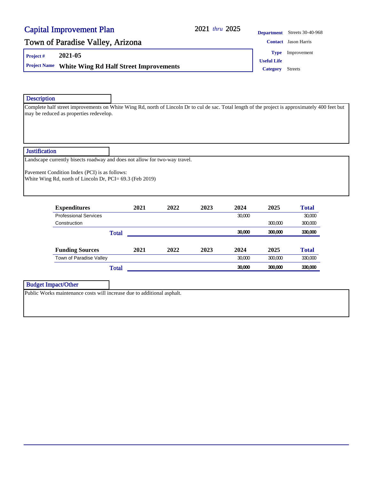#### 2021 thru 2025

### Town of Paradise Valley, Arizona **Contact Jason Harris** Contact Jason Harris

**Project # 2021-05**

**Project Name White Wing Rd Half Street Improvements** Category Streets

**Department** Streets 30-40-968

**Type** Improvement

**Useful Life**

**Description** 

Complete half street improvements on White Wing Rd, north of Lincoln Dr to cul de sac. Total length of the project is approximately 400 feet but may be reduced as properties redevelop.

**Justification** 

Landscape currently bisects roadway and does not allow for two-way travel.

Pavement Condition Index (PCI) is as follows: White Wing Rd, north of Lincoln Dr, PCI= 69.3 (Feb 2019)

| <b>Expenditures</b>          | 2021 | 2022 | 2023 | 2024   | 2025    | <b>Total</b> |
|------------------------------|------|------|------|--------|---------|--------------|
| <b>Professional Services</b> |      |      |      | 30,000 |         | 30,000       |
| Construction                 |      |      |      |        | 300.000 | 300,000      |
| <b>Total</b>                 |      |      |      | 30,000 | 300,000 | 330,000      |
|                              |      |      |      |        |         |              |
| <b>Funding Sources</b>       | 2021 | 2022 | 2023 | 2024   | 2025    | <b>Total</b> |
| Town of Paradise Valley      |      |      |      | 30,000 | 300.000 | 330,000      |
| <b>Total</b>                 |      |      |      | 30,000 | 300,000 | 330,000      |

Budget Impact/Other

Public Works maintenance costs will increase due to additional asphalt.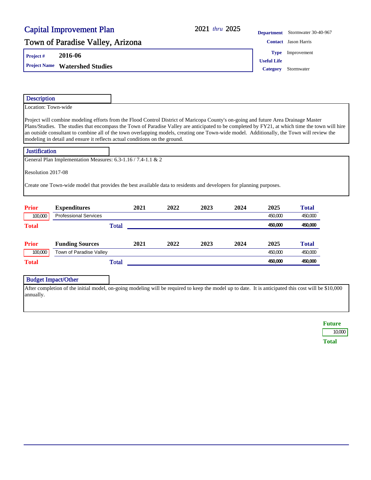### 2021 thru 2025

**Department** Stormwater 30-40-967

### Town of Paradise Valley, Arizona **Contact Jason Harris** Contact Jason Harris

**Project # 2016-06**

**Project Name Watershed Studies Category** Stormwater

**Type** Improvement

**Useful Life**

| Location: Town-wide                                                                                                                                                                                                                                                                                                                                                                                                                                                                                               |              |      |      |      |      |                    |                    |
|-------------------------------------------------------------------------------------------------------------------------------------------------------------------------------------------------------------------------------------------------------------------------------------------------------------------------------------------------------------------------------------------------------------------------------------------------------------------------------------------------------------------|--------------|------|------|------|------|--------------------|--------------------|
|                                                                                                                                                                                                                                                                                                                                                                                                                                                                                                                   |              |      |      |      |      |                    |                    |
| Project will combine modeling efforts from the Flood Control District of Maricopa County's on-going and future Area Drainage Master<br>Plans/Studies. The studies that encompass the Town of Paradise Valley are anticipated to be completed by FY21, at which time the town will hire<br>an outside consultant to combine all of the town overlapping models, creating one Town-wide model. Additionally, the Town will review the<br>modeling in detail and ensure it reflects actual conditions on the ground. |              |      |      |      |      |                    |                    |
| <b>Justification</b>                                                                                                                                                                                                                                                                                                                                                                                                                                                                                              |              |      |      |      |      |                    |                    |
| General Plan Implementation Measures: 6.3-1.16 / 7.4-1.1 & 2                                                                                                                                                                                                                                                                                                                                                                                                                                                      |              |      |      |      |      |                    |                    |
| Resolution 2017-08                                                                                                                                                                                                                                                                                                                                                                                                                                                                                                |              |      |      |      |      |                    |                    |
| Create one Town-wide model that provides the best available data to residents and developers for planning purposes.<br><b>Prior</b>                                                                                                                                                                                                                                                                                                                                                                               |              | 2021 | 2022 |      |      |                    |                    |
|                                                                                                                                                                                                                                                                                                                                                                                                                                                                                                                   |              |      |      |      |      |                    |                    |
| <b>Expenditures</b>                                                                                                                                                                                                                                                                                                                                                                                                                                                                                               |              |      |      | 2023 | 2024 | 2025               | <b>Total</b>       |
| <b>Professional Services</b><br>100,000<br><b>Total</b>                                                                                                                                                                                                                                                                                                                                                                                                                                                           | <b>Total</b> |      |      |      |      | 450,000<br>450,000 | 450.000<br>450,000 |
|                                                                                                                                                                                                                                                                                                                                                                                                                                                                                                                   |              |      |      |      |      |                    |                    |
| <b>Funding Sources</b>                                                                                                                                                                                                                                                                                                                                                                                                                                                                                            |              | 2021 | 2022 | 2023 | 2024 | 2025               | <b>Total</b>       |
| <b>Prior</b><br>Town of Paradise Valley<br>100,000                                                                                                                                                                                                                                                                                                                                                                                                                                                                |              |      |      |      |      | 450,000            | 450.000            |

**Future** 10,000

**Total**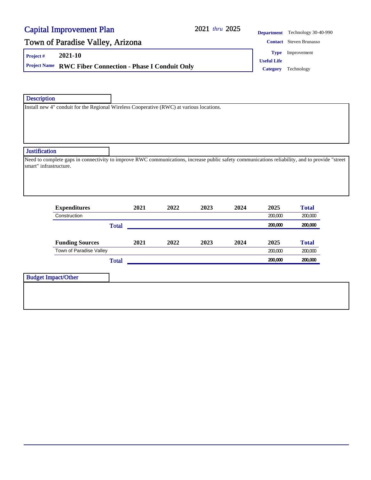#### 2021 thru 2025

### Town of Paradise Valley, Arizona **Contact Steven Brunasso** Contact Steven Brunasso **Department** Technology 30-40-990

**Project # 2021-10**

**Project Name RWC Fiber Connection - Phase I Conduit Only Category** Technology

**Useful Life Type** Improvement

**Description** 

Install new 4" conduit for the Regional Wireless Cooperative (RWC) at various locations.

#### **Justification**

Need to complete gaps in connectivity to improve RWC communications, increase public safety communications reliability, and to provide "street smart" infrastructure.

| <b>Expenditures</b>     | 2021         | 2022 | 2023 | 2024 | 2025    | <b>Total</b> |
|-------------------------|--------------|------|------|------|---------|--------------|
| Construction            |              |      |      |      | 200,000 | 200,000      |
|                         | <b>Total</b> |      |      |      | 200.000 | 200,000      |
| <b>Funding Sources</b>  | 2021         | 2022 | 2023 | 2024 | 2025    | <b>Total</b> |
| Town of Paradise Valley |              |      |      |      | 200,000 | 200,000      |
|                         | <b>Total</b> |      |      |      | 200,000 | 200,000      |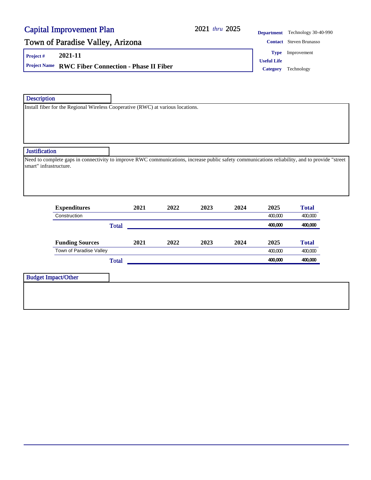#### 2021 thru 2025

| <b>Department</b> | Technology 30-40-990           |
|-------------------|--------------------------------|
|                   | <b>Contact</b> Steven Brunasso |

### Town of Paradise Valley, Arizona

**Project # 2021-11**

**Project Name RWC Fiber Connection - Phase II Fiber Category** Technology

**Useful Life Type** Improvement

**Description** 

Install fiber for the Regional Wireless Cooperative (RWC) at various locations.

#### **Justification**

Need to complete gaps in connectivity to improve RWC communications, increase public safety communications reliability, and to provide "street smart" infrastructure.

| <b>Expenditures</b>     | 2021         | 2022 | 2023 | 2024 | 2025    | <b>Total</b> |
|-------------------------|--------------|------|------|------|---------|--------------|
| Construction            |              |      |      |      | 400.000 | 400,000      |
|                         | <b>Total</b> |      |      |      | 400.000 | 400,000      |
| <b>Funding Sources</b>  | 2021         | 2022 | 2023 | 2024 | 2025    | <b>Total</b> |
| Town of Paradise Valley |              |      |      |      | 400.000 | 400,000      |
|                         |              |      |      |      |         |              |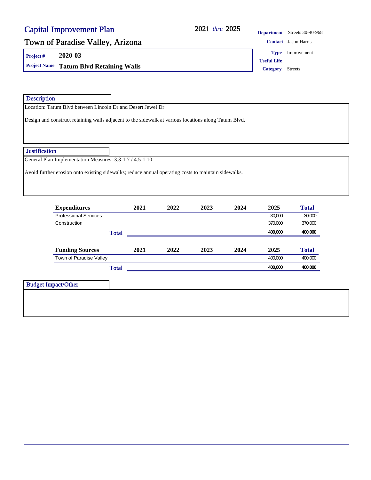### 2021 2025 *thru*

**Department** Streets 30-40-968

**Type** Improvement

**Useful Life**

### Town of Paradise Valley, Arizona **Contact Jason Harris** Contact Jason Harris

**Project # 2020-03**

**Project Name Tatum Blvd Retaining Walls Category** Streets **Category** Streets

| <b>Description</b> |                                                                                                      |              |      |                                                                                                     |      |         |              |
|--------------------|------------------------------------------------------------------------------------------------------|--------------|------|-----------------------------------------------------------------------------------------------------|------|---------|--------------|
|                    | Location: Tatum Blvd between Lincoln Dr and Desert Jewel Dr                                          |              |      |                                                                                                     |      |         |              |
|                    | Design and construct retaining walls adjacent to the sidewalk at various locations along Tatum Blvd. |              |      |                                                                                                     |      |         |              |
|                    |                                                                                                      |              |      |                                                                                                     |      |         |              |
| Justification      |                                                                                                      |              |      |                                                                                                     |      |         |              |
|                    | General Plan Implementation Measures: 3.3-1.7 / 4.5-1.10                                             |              |      |                                                                                                     |      |         |              |
|                    |                                                                                                      |              |      | Avoid further erosion onto existing sidewalks; reduce annual operating costs to maintain sidewalks. |      |         |              |
|                    |                                                                                                      |              |      |                                                                                                     |      |         |              |
|                    | <b>Expenditures</b>                                                                                  | 2021         | 2022 | 2023                                                                                                | 2024 | 2025    | <b>Total</b> |
|                    | <b>Professional Services</b>                                                                         |              |      |                                                                                                     |      | 30,000  | 30,000       |
|                    | Construction                                                                                         |              |      |                                                                                                     |      | 370,000 | 370,000      |
|                    |                                                                                                      | <b>Total</b> |      |                                                                                                     |      | 400,000 | 400,000      |
|                    | <b>Funding Sources</b>                                                                               | 2021         | 2022 | 2023                                                                                                | 2024 | 2025    | <b>Total</b> |
|                    | Town of Paradise Valley                                                                              |              |      |                                                                                                     |      | 400,000 | 400,000      |
|                    |                                                                                                      | <b>Total</b> |      |                                                                                                     |      | 400,000 | 400,000      |
|                    |                                                                                                      |              |      |                                                                                                     |      |         |              |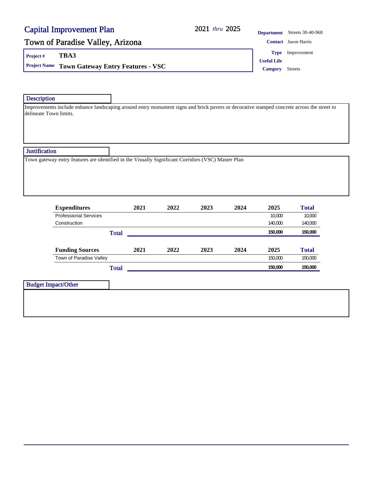#### 2021 thru 2025

### Town of Paradise Valley, Arizona **Contact Jason Harris** Contact Jason Harris

**Project # TBA3**

**Project Name Town Gateway Entry Features - VSC Category** Streets

**Department** Streets 30-40-968

**Type** Improvement

**Useful Life**

#### **Description**

Improvements include enhance landscaping around entry monument signs and brick pavers or decorative stamped concrete across the street to delineate Town limits.

#### **Justification**

Town gateway entry features are identified in the Visually Significant Corridors (VSC) Master Plan

| <b>Expenditures</b>          |              | 2021 | 2022 | 2023 | 2024 | 2025    | <b>Total</b> |
|------------------------------|--------------|------|------|------|------|---------|--------------|
| <b>Professional Services</b> |              |      |      |      |      | 10,000  | 10,000       |
| Construction                 |              |      |      |      |      | 140,000 | 140,000      |
|                              | <b>Total</b> |      |      |      |      | 150,000 | 150,000      |
| <b>Funding Sources</b>       |              | 2021 | 2022 | 2023 | 2024 | 2025    | <b>Total</b> |
| Town of Paradise Valley      |              |      |      |      |      | 150,000 | 150,000      |
|                              | <b>Total</b> |      |      |      |      | 150,000 | 150,000      |
| <b>Budget Impact/Other</b>   |              |      |      |      |      |         |              |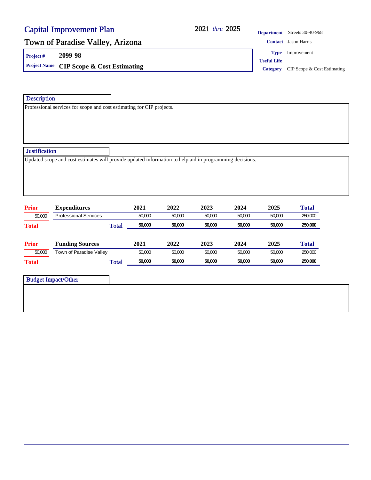#### 2021 thru 2025

**Department** Streets 30-40-968

### Town of Paradise Valley, Arizona **Contact Jason Harris** Contact Jason Harris

**Project # 2099-98**

**Project Name CIP Scope & Cost Estimating Category CIP Scope & Cost Estimating Category CIP Scope & Cost Estimating** 

**Type** Improvement

**Useful Life**

**Description** 

Professional services for scope and cost estimating for CIP projects.

#### **Justification**

Updated scope and cost estimates will provide updated information to help aid in programming decisions.

| <b>Prior</b> | <b>Expenditures</b>          | 2021   | 2022   | 2023   | 2024   | 2025   | <b>Total</b> |
|--------------|------------------------------|--------|--------|--------|--------|--------|--------------|
| 50,000       | <b>Professional Services</b> | 50,000 | 50,000 | 50,000 | 50.000 | 50.000 | 250,000      |
| <b>Total</b> | <b>Total</b>                 | 50,000 | 50,000 | 50,000 | 50,000 | 50,000 | 250,000      |
|              |                              |        |        |        |        |        |              |
| <b>Prior</b> | <b>Funding Sources</b>       | 2021   | 2022   | 2023   | 2024   | 2025   | <b>Total</b> |
| 50,000       | Town of Paradise Valley      | 50,000 | 50,000 | 50,000 | 50.000 | 50.000 | 250,000      |
| <b>Total</b> | <b>Total</b>                 | 50,000 | 50,000 | 50,000 | 50,000 | 50,000 | 250,000      |